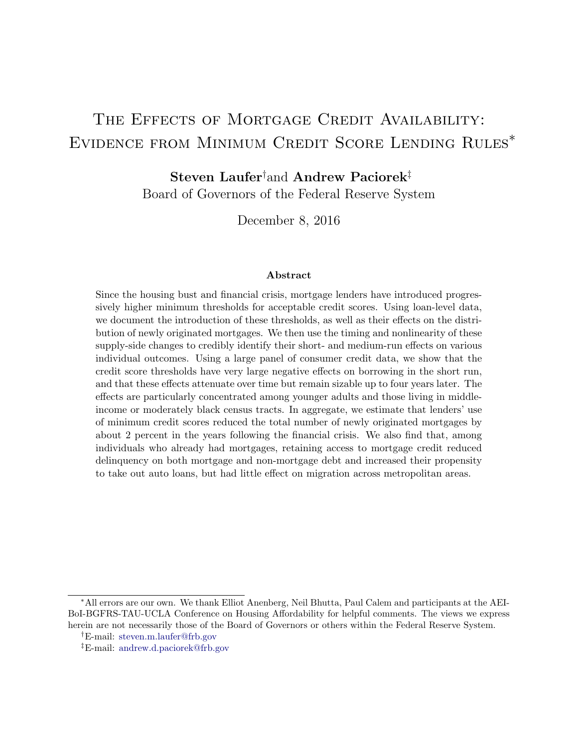# THE EFFECTS OF MORTGAGE CREDIT AVAILABILITY: Evidence from Minimum Credit Score Lending Rules∗

Steven Laufer†and Andrew Paciorek‡

Board of Governors of the Federal Reserve System

December 8, 2016

#### Abstract

Since the housing bust and financial crisis, mortgage lenders have introduced progressively higher minimum thresholds for acceptable credit scores. Using loan-level data, we document the introduction of these thresholds, as well as their effects on the distribution of newly originated mortgages. We then use the timing and nonlinearity of these supply-side changes to credibly identify their short- and medium-run effects on various individual outcomes. Using a large panel of consumer credit data, we show that the credit score thresholds have very large negative effects on borrowing in the short run, and that these effects attenuate over time but remain sizable up to four years later. The effects are particularly concentrated among younger adults and those living in middleincome or moderately black census tracts. In aggregate, we estimate that lenders' use of minimum credit scores reduced the total number of newly originated mortgages by about 2 percent in the years following the financial crisis. We also find that, among individuals who already had mortgages, retaining access to mortgage credit reduced delinquency on both mortgage and non-mortgage debt and increased their propensity to take out auto loans, but had little effect on migration across metropolitan areas.

<sup>∗</sup>All errors are our own. We thank Elliot Anenberg, Neil Bhutta, Paul Calem and participants at the AEI-BoI-BGFRS-TAU-UCLA Conference on Housing Affordability for helpful comments. The views we express herein are not necessarily those of the Board of Governors or others within the Federal Reserve System.

<sup>†</sup>E-mail: [steven.m.laufer@frb.gov](mailto:steven.m.laufer@frb.gov)

<sup>‡</sup>E-mail: [andrew.d.paciorek@frb.gov](mailto:andrew.d.paciorek@frb.gov)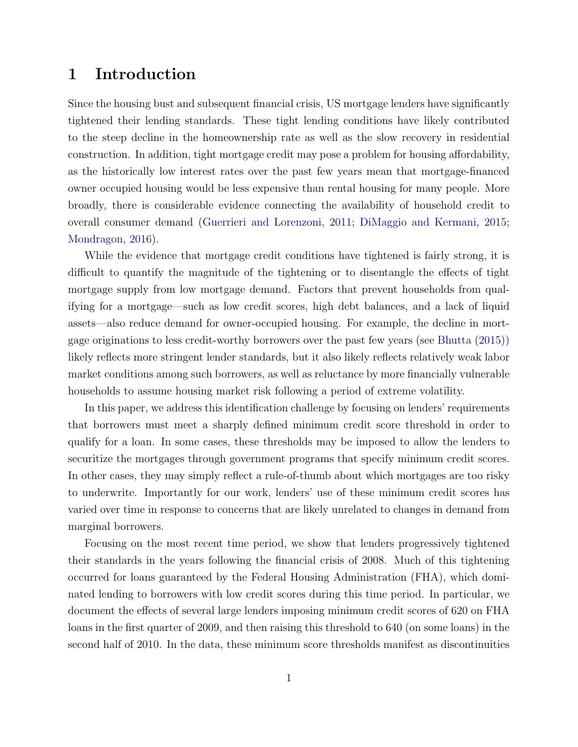# 1 Introduction

Since the housing bust and subsequent financial crisis, US mortgage lenders have significantly tightened their lending standards. These tight lending conditions have likely contributed to the steep decline in the homeownership rate as well as the slow recovery in residential construction. In addition, tight mortgage credit may pose a problem for housing affordability, as the historically low interest rates over the past few years mean that mortgage-financed owner occupied housing would be less expensive than rental housing for many people. More broadly, there is considerable evidence connecting the availability of household credit to overall consumer demand [\(Guerrieri and Lorenzoni,](#page-33-0) [2011;](#page-33-0) [DiMaggio and Kermani,](#page-32-0) [2015;](#page-32-0) [Mondragon,](#page-33-1) [2016\)](#page-33-1).

While the evidence that mortgage credit conditions have tightened is fairly strong, it is difficult to quantify the magnitude of the tightening or to disentangle the effects of tight mortgage supply from low mortgage demand. Factors that prevent households from qualifying for a mortgage—such as low credit scores, high debt balances, and a lack of liquid assets—also reduce demand for owner-occupied housing. For example, the decline in mortgage originations to less credit-worthy borrowers over the past few years (see [Bhutta](#page-32-1) [\(2015\)](#page-32-1)) likely reflects more stringent lender standards, but it also likely reflects relatively weak labor market conditions among such borrowers, as well as reluctance by more financially vulnerable households to assume housing market risk following a period of extreme volatility.

In this paper, we address this identification challenge by focusing on lenders' requirements that borrowers must meet a sharply defined minimum credit score threshold in order to qualify for a loan. In some cases, these thresholds may be imposed to allow the lenders to securitize the mortgages through government programs that specify minimum credit scores. In other cases, they may simply reflect a rule-of-thumb about which mortgages are too risky to underwrite. Importantly for our work, lenders' use of these minimum credit scores has varied over time in response to concerns that are likely unrelated to changes in demand from marginal borrowers.

Focusing on the most recent time period, we show that lenders progressively tightened their standards in the years following the financial crisis of 2008. Much of this tightening occurred for loans guaranteed by the Federal Housing Administration (FHA), which dominated lending to borrowers with low credit scores during this time period. In particular, we document the effects of several large lenders imposing minimum credit scores of 620 on FHA loans in the first quarter of 2009, and then raising this threshold to 640 (on some loans) in the second half of 2010. In the data, these minimum score thresholds manifest as discontinuities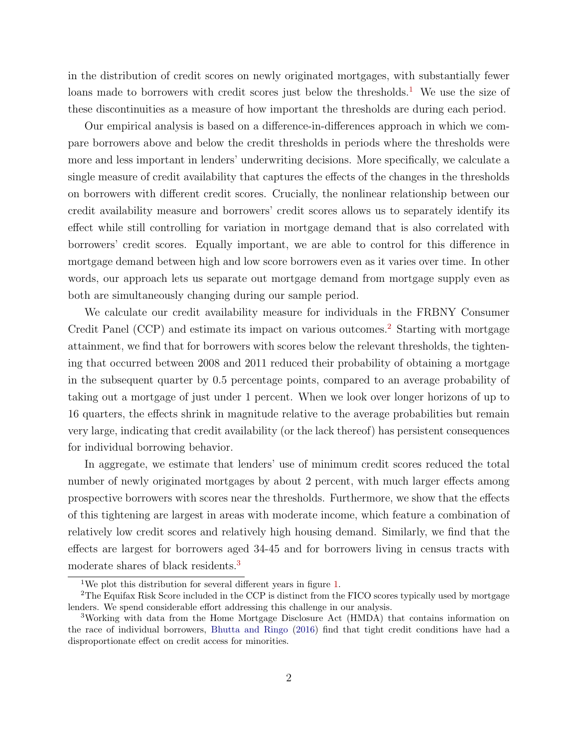in the distribution of credit scores on newly originated mortgages, with substantially fewer loans made to borrowers with credit scores just below the thresholds.<sup>[1](#page-2-0)</sup> We use the size of these discontinuities as a measure of how important the thresholds are during each period.

Our empirical analysis is based on a difference-in-differences approach in which we compare borrowers above and below the credit thresholds in periods where the thresholds were more and less important in lenders' underwriting decisions. More specifically, we calculate a single measure of credit availability that captures the effects of the changes in the thresholds on borrowers with different credit scores. Crucially, the nonlinear relationship between our credit availability measure and borrowers' credit scores allows us to separately identify its effect while still controlling for variation in mortgage demand that is also correlated with borrowers' credit scores. Equally important, we are able to control for this difference in mortgage demand between high and low score borrowers even as it varies over time. In other words, our approach lets us separate out mortgage demand from mortgage supply even as both are simultaneously changing during our sample period.

We calculate our credit availability measure for individuals in the FRBNY Consumer Credit Panel (CCP) and estimate its impact on various outcomes.<sup>[2](#page-2-1)</sup> Starting with mortgage attainment, we find that for borrowers with scores below the relevant thresholds, the tightening that occurred between 2008 and 2011 reduced their probability of obtaining a mortgage in the subsequent quarter by 0.5 percentage points, compared to an average probability of taking out a mortgage of just under 1 percent. When we look over longer horizons of up to 16 quarters, the effects shrink in magnitude relative to the average probabilities but remain very large, indicating that credit availability (or the lack thereof) has persistent consequences for individual borrowing behavior.

In aggregate, we estimate that lenders' use of minimum credit scores reduced the total number of newly originated mortgages by about 2 percent, with much larger effects among prospective borrowers with scores near the thresholds. Furthermore, we show that the effects of this tightening are largest in areas with moderate income, which feature a combination of relatively low credit scores and relatively high housing demand. Similarly, we find that the effects are largest for borrowers aged 34-45 and for borrowers living in census tracts with moderate shares of black residents.[3](#page-2-2)

<span id="page-2-1"></span><span id="page-2-0"></span><sup>1</sup>We plot this distribution for several different years in figure [1.](#page-35-0)

<sup>&</sup>lt;sup>2</sup>The Equifax Risk Score included in the CCP is distinct from the FICO scores typically used by mortgage lenders. We spend considerable effort addressing this challenge in our analysis.

<span id="page-2-2"></span><sup>3</sup>Working with data from the Home Mortgage Disclosure Act (HMDA) that contains information on the race of individual borrowers, [Bhutta and Ringo](#page-32-2) [\(2016\)](#page-32-2) find that tight credit conditions have had a disproportionate effect on credit access for minorities.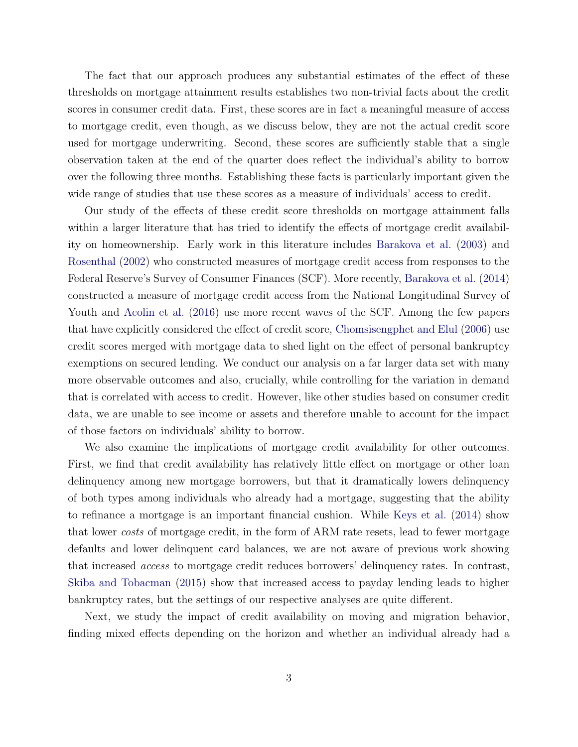The fact that our approach produces any substantial estimates of the effect of these thresholds on mortgage attainment results establishes two non-trivial facts about the credit scores in consumer credit data. First, these scores are in fact a meaningful measure of access to mortgage credit, even though, as we discuss below, they are not the actual credit score used for mortgage underwriting. Second, these scores are sufficiently stable that a single observation taken at the end of the quarter does reflect the individual's ability to borrow over the following three months. Establishing these facts is particularly important given the wide range of studies that use these scores as a measure of individuals' access to credit.

Our study of the effects of these credit score thresholds on mortgage attainment falls within a larger literature that has tried to identify the effects of mortgage credit availability on homeownership. Early work in this literature includes [Barakova et al.](#page-32-3) [\(2003\)](#page-32-3) and [Rosenthal](#page-33-2) [\(2002\)](#page-33-2) who constructed measures of mortgage credit access from responses to the Federal Reserve's Survey of Consumer Finances (SCF). More recently, [Barakova et al.](#page-32-4) [\(2014\)](#page-32-4) constructed a measure of mortgage credit access from the National Longitudinal Survey of Youth and [Acolin et al.](#page-32-5) [\(2016\)](#page-32-5) use more recent waves of the SCF. Among the few papers that have explicitly considered the effect of credit score, [Chomsisengphet and Elul](#page-32-6) [\(2006\)](#page-32-6) use credit scores merged with mortgage data to shed light on the effect of personal bankruptcy exemptions on secured lending. We conduct our analysis on a far larger data set with many more observable outcomes and also, crucially, while controlling for the variation in demand that is correlated with access to credit. However, like other studies based on consumer credit data, we are unable to see income or assets and therefore unable to account for the impact of those factors on individuals' ability to borrow.

We also examine the implications of mortgage credit availability for other outcomes. First, we find that credit availability has relatively little effect on mortgage or other loan delinquency among new mortgage borrowers, but that it dramatically lowers delinquency of both types among individuals who already had a mortgage, suggesting that the ability to refinance a mortgage is an important financial cushion. While [Keys et al.](#page-33-3) [\(2014\)](#page-33-3) show that lower costs of mortgage credit, in the form of ARM rate resets, lead to fewer mortgage defaults and lower delinquent card balances, we are not aware of previous work showing that increased access to mortgage credit reduces borrowers' delinquency rates. In contrast, [Skiba and Tobacman](#page-34-0) [\(2015\)](#page-34-0) show that increased access to payday lending leads to higher bankruptcy rates, but the settings of our respective analyses are quite different.

Next, we study the impact of credit availability on moving and migration behavior, finding mixed effects depending on the horizon and whether an individual already had a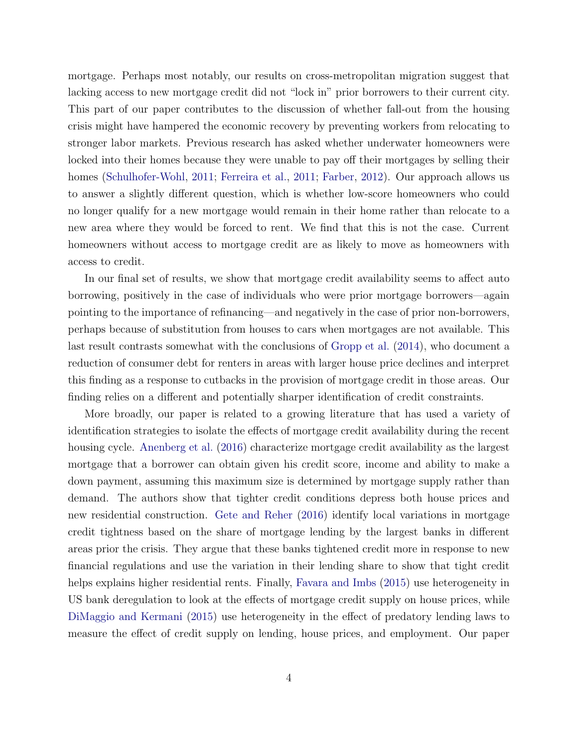mortgage. Perhaps most notably, our results on cross-metropolitan migration suggest that lacking access to new mortgage credit did not "lock in" prior borrowers to their current city. This part of our paper contributes to the discussion of whether fall-out from the housing crisis might have hampered the economic recovery by preventing workers from relocating to stronger labor markets. Previous research has asked whether underwater homeowners were locked into their homes because they were unable to pay off their mortgages by selling their homes [\(Schulhofer-Wohl,](#page-34-1) [2011;](#page-34-1) [Ferreira et al.,](#page-33-4) [2011;](#page-33-4) [Farber,](#page-32-7) [2012\)](#page-32-7). Our approach allows us to answer a slightly different question, which is whether low-score homeowners who could no longer qualify for a new mortgage would remain in their home rather than relocate to a new area where they would be forced to rent. We find that this is not the case. Current homeowners without access to mortgage credit are as likely to move as homeowners with access to credit.

In our final set of results, we show that mortgage credit availability seems to affect auto borrowing, positively in the case of individuals who were prior mortgage borrowers—again pointing to the importance of refinancing—and negatively in the case of prior non-borrowers, perhaps because of substitution from houses to cars when mortgages are not available. This last result contrasts somewhat with the conclusions of [Gropp et al.](#page-33-5) [\(2014\)](#page-33-5), who document a reduction of consumer debt for renters in areas with larger house price declines and interpret this finding as a response to cutbacks in the provision of mortgage credit in those areas. Our finding relies on a different and potentially sharper identification of credit constraints.

More broadly, our paper is related to a growing literature that has used a variety of identification strategies to isolate the effects of mortgage credit availability during the recent housing cycle. [Anenberg et al.](#page-32-8) [\(2016\)](#page-32-8) characterize mortgage credit availability as the largest mortgage that a borrower can obtain given his credit score, income and ability to make a down payment, assuming this maximum size is determined by mortgage supply rather than demand. The authors show that tighter credit conditions depress both house prices and new residential construction. [Gete and Reher](#page-33-6) [\(2016\)](#page-33-6) identify local variations in mortgage credit tightness based on the share of mortgage lending by the largest banks in different areas prior the crisis. They argue that these banks tightened credit more in response to new financial regulations and use the variation in their lending share to show that tight credit helps explains higher residential rents. Finally, [Favara and Imbs](#page-33-7) [\(2015\)](#page-33-7) use heterogeneity in US bank deregulation to look at the effects of mortgage credit supply on house prices, while [DiMaggio and Kermani](#page-32-0) [\(2015\)](#page-32-0) use heterogeneity in the effect of predatory lending laws to measure the effect of credit supply on lending, house prices, and employment. Our paper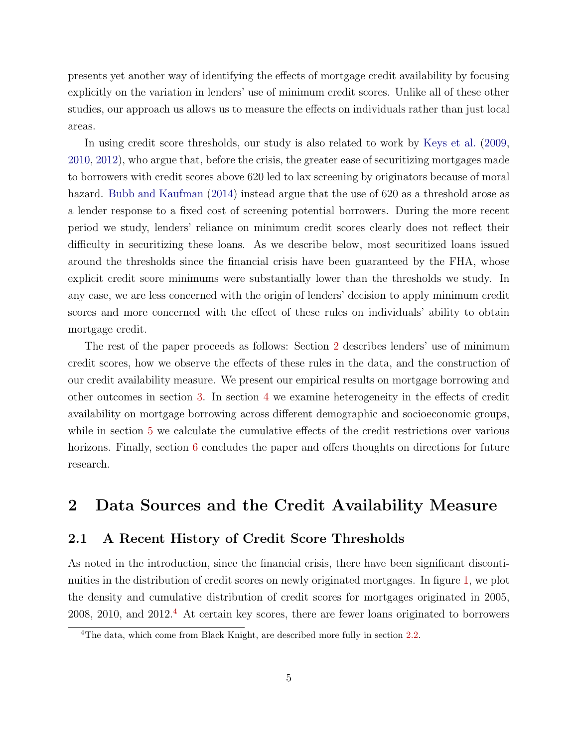presents yet another way of identifying the effects of mortgage credit availability by focusing explicitly on the variation in lenders' use of minimum credit scores. Unlike all of these other studies, our approach us allows us to measure the effects on individuals rather than just local areas.

In using credit score thresholds, our study is also related to work by [Keys et al.](#page-33-8) [\(2009,](#page-33-8) [2010,](#page-33-9) [2012\)](#page-33-10), who argue that, before the crisis, the greater ease of securitizing mortgages made to borrowers with credit scores above 620 led to lax screening by originators because of moral hazard. [Bubb and Kaufman](#page-32-9) [\(2014\)](#page-32-9) instead argue that the use of 620 as a threshold arose as a lender response to a fixed cost of screening potential borrowers. During the more recent period we study, lenders' reliance on minimum credit scores clearly does not reflect their difficulty in securitizing these loans. As we describe below, most securitized loans issued around the thresholds since the financial crisis have been guaranteed by the FHA, whose explicit credit score minimums were substantially lower than the thresholds we study. In any case, we are less concerned with the origin of lenders' decision to apply minimum credit scores and more concerned with the effect of these rules on individuals' ability to obtain mortgage credit.

The rest of the paper proceeds as follows: Section [2](#page-5-0) describes lenders' use of minimum credit scores, how we observe the effects of these rules in the data, and the construction of our credit availability measure. We present our empirical results on mortgage borrowing and other outcomes in section [3.](#page-16-0) In section [4](#page-26-0) we examine heterogeneity in the effects of credit availability on mortgage borrowing across different demographic and socioeconomic groups, while in section [5](#page-29-0) we calculate the cumulative effects of the credit restrictions over various horizons. Finally, section [6](#page-30-0) concludes the paper and offers thoughts on directions for future research.

# <span id="page-5-0"></span>2 Data Sources and the Credit Availability Measure

### 2.1 A Recent History of Credit Score Thresholds

As noted in the introduction, since the financial crisis, there have been significant discontinuities in the distribution of credit scores on newly originated mortgages. In figure [1,](#page-35-0) we plot the density and cumulative distribution of credit scores for mortgages originated in 2005, 2008, 2010, and  $2012<sup>4</sup>$  $2012<sup>4</sup>$  $2012<sup>4</sup>$  At certain key scores, there are fewer loans originated to borrowers

<span id="page-5-1"></span><sup>&</sup>lt;sup>4</sup>The data, which come from Black Knight, are described more fully in section [2.2.](#page-7-0)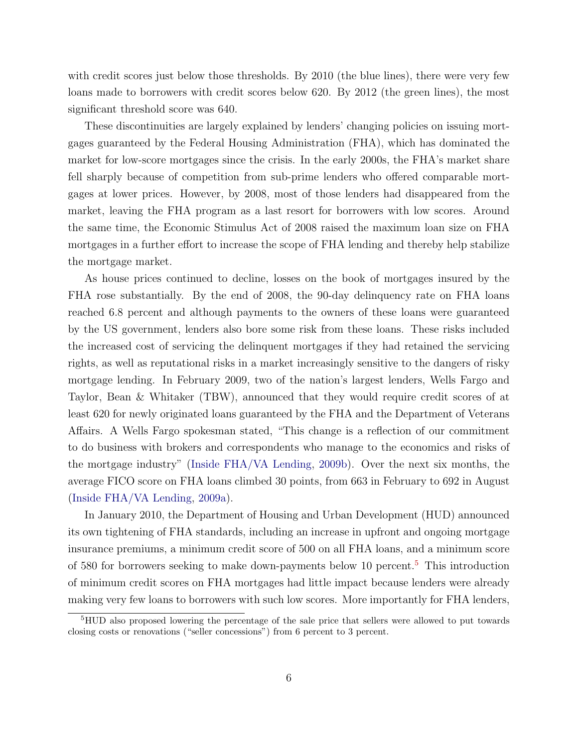with credit scores just below those thresholds. By 2010 (the blue lines), there were very few loans made to borrowers with credit scores below 620. By 2012 (the green lines), the most significant threshold score was 640.

These discontinuities are largely explained by lenders' changing policies on issuing mortgages guaranteed by the Federal Housing Administration (FHA), which has dominated the market for low-score mortgages since the crisis. In the early 2000s, the FHA's market share fell sharply because of competition from sub-prime lenders who offered comparable mortgages at lower prices. However, by 2008, most of those lenders had disappeared from the market, leaving the FHA program as a last resort for borrowers with low scores. Around the same time, the Economic Stimulus Act of 2008 raised the maximum loan size on FHA mortgages in a further effort to increase the scope of FHA lending and thereby help stabilize the mortgage market.

As house prices continued to decline, losses on the book of mortgages insured by the FHA rose substantially. By the end of 2008, the 90-day delinquency rate on FHA loans reached 6.8 percent and although payments to the owners of these loans were guaranteed by the US government, lenders also bore some risk from these loans. These risks included the increased cost of servicing the delinquent mortgages if they had retained the servicing rights, as well as reputational risks in a market increasingly sensitive to the dangers of risky mortgage lending. In February 2009, two of the nation's largest lenders, Wells Fargo and Taylor, Bean & Whitaker (TBW), announced that they would require credit scores of at least 620 for newly originated loans guaranteed by the FHA and the Department of Veterans Affairs. A Wells Fargo spokesman stated, "This change is a reflection of our commitment to do business with brokers and correspondents who manage to the economics and risks of the mortgage industry" [\(Inside FHA/VA Lending,](#page-33-11) [2009b\)](#page-33-11). Over the next six months, the average FICO score on FHA loans climbed 30 points, from 663 in February to 692 in August [\(Inside FHA/VA Lending,](#page-33-12) [2009a\)](#page-33-12).

In January 2010, the Department of Housing and Urban Development (HUD) announced its own tightening of FHA standards, including an increase in upfront and ongoing mortgage insurance premiums, a minimum credit score of 500 on all FHA loans, and a minimum score of 580 for borrowers seeking to make down-payments below 10 percent.[5](#page-6-0) This introduction of minimum credit scores on FHA mortgages had little impact because lenders were already making very few loans to borrowers with such low scores. More importantly for FHA lenders,

<span id="page-6-0"></span><sup>5</sup>HUD also proposed lowering the percentage of the sale price that sellers were allowed to put towards closing costs or renovations ("seller concessions") from 6 percent to 3 percent.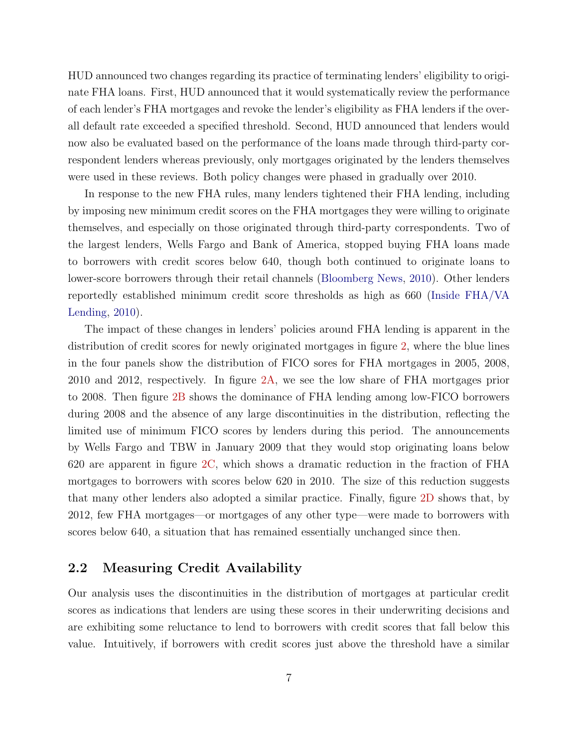HUD announced two changes regarding its practice of terminating lenders' eligibility to originate FHA loans. First, HUD announced that it would systematically review the performance of each lender's FHA mortgages and revoke the lender's eligibility as FHA lenders if the overall default rate exceeded a specified threshold. Second, HUD announced that lenders would now also be evaluated based on the performance of the loans made through third-party correspondent lenders whereas previously, only mortgages originated by the lenders themselves were used in these reviews. Both policy changes were phased in gradually over 2010.

In response to the new FHA rules, many lenders tightened their FHA lending, including by imposing new minimum credit scores on the FHA mortgages they were willing to originate themselves, and especially on those originated through third-party correspondents. Two of the largest lenders, Wells Fargo and Bank of America, stopped buying FHA loans made to borrowers with credit scores below 640, though both continued to originate loans to lower-score borrowers through their retail channels [\(Bloomberg News,](#page-32-10) [2010\)](#page-32-10). Other lenders reportedly established minimum credit score thresholds as high as 660 [\(Inside FHA/VA](#page-33-13) [Lending,](#page-33-13) [2010\)](#page-33-13).

The impact of these changes in lenders' policies around FHA lending is apparent in the distribution of credit scores for newly originated mortgages in figure [2,](#page-36-0) where the blue lines in the four panels show the distribution of FICO sores for FHA mortgages in 2005, 2008, 2010 and 2012, respectively. In figure [2A,](#page-36-1) we see the low share of FHA mortgages prior to 2008. Then figure [2B](#page-36-2) shows the dominance of FHA lending among low-FICO borrowers during 2008 and the absence of any large discontinuities in the distribution, reflecting the limited use of minimum FICO scores by lenders during this period. The announcements by Wells Fargo and TBW in January 2009 that they would stop originating loans below 620 are apparent in figure [2C,](#page-36-3) which shows a dramatic reduction in the fraction of FHA mortgages to borrowers with scores below 620 in 2010. The size of this reduction suggests that many other lenders also adopted a similar practice. Finally, figure [2D](#page-36-4) shows that, by 2012, few FHA mortgages—or mortgages of any other type—were made to borrowers with scores below 640, a situation that has remained essentially unchanged since then.

#### <span id="page-7-0"></span>2.2 Measuring Credit Availability

Our analysis uses the discontinuities in the distribution of mortgages at particular credit scores as indications that lenders are using these scores in their underwriting decisions and are exhibiting some reluctance to lend to borrowers with credit scores that fall below this value. Intuitively, if borrowers with credit scores just above the threshold have a similar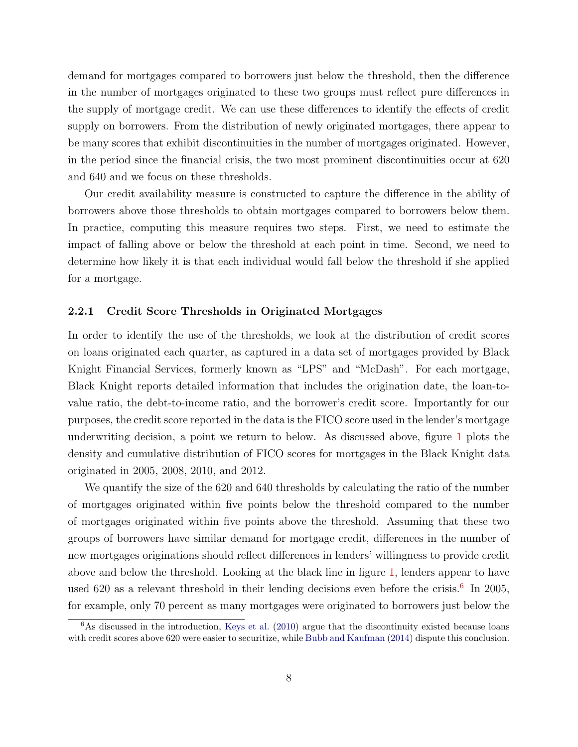demand for mortgages compared to borrowers just below the threshold, then the difference in the number of mortgages originated to these two groups must reflect pure differences in the supply of mortgage credit. We can use these differences to identify the effects of credit supply on borrowers. From the distribution of newly originated mortgages, there appear to be many scores that exhibit discontinuities in the number of mortgages originated. However, in the period since the financial crisis, the two most prominent discontinuities occur at 620 and 640 and we focus on these thresholds.

Our credit availability measure is constructed to capture the difference in the ability of borrowers above those thresholds to obtain mortgages compared to borrowers below them. In practice, computing this measure requires two steps. First, we need to estimate the impact of falling above or below the threshold at each point in time. Second, we need to determine how likely it is that each individual would fall below the threshold if she applied for a mortgage.

#### <span id="page-8-1"></span>2.2.1 Credit Score Thresholds in Originated Mortgages

In order to identify the use of the thresholds, we look at the distribution of credit scores on loans originated each quarter, as captured in a data set of mortgages provided by Black Knight Financial Services, formerly known as "LPS" and "McDash". For each mortgage, Black Knight reports detailed information that includes the origination date, the loan-tovalue ratio, the debt-to-income ratio, and the borrower's credit score. Importantly for our purposes, the credit score reported in the data is the FICO score used in the lender's mortgage underwriting decision, a point we return to below. As discussed above, figure [1](#page-35-0) plots the density and cumulative distribution of FICO scores for mortgages in the Black Knight data originated in 2005, 2008, 2010, and 2012.

We quantify the size of the 620 and 640 thresholds by calculating the ratio of the number of mortgages originated within five points below the threshold compared to the number of mortgages originated within five points above the threshold. Assuming that these two groups of borrowers have similar demand for mortgage credit, differences in the number of new mortgages originations should reflect differences in lenders' willingness to provide credit above and below the threshold. Looking at the black line in figure [1,](#page-35-0) lenders appear to have used [6](#page-8-0)20 as a relevant threshold in their lending decisions even before the crisis.<sup>6</sup> In 2005, for example, only 70 percent as many mortgages were originated to borrowers just below the

<span id="page-8-0"></span> $6$ As discussed in the introduction, [Keys et al.](#page-33-9) [\(2010\)](#page-33-9) argue that the discontinuity existed because loans with credit scores above 620 were easier to securitize, while [Bubb and Kaufman](#page-32-9) [\(2014\)](#page-32-9) dispute this conclusion.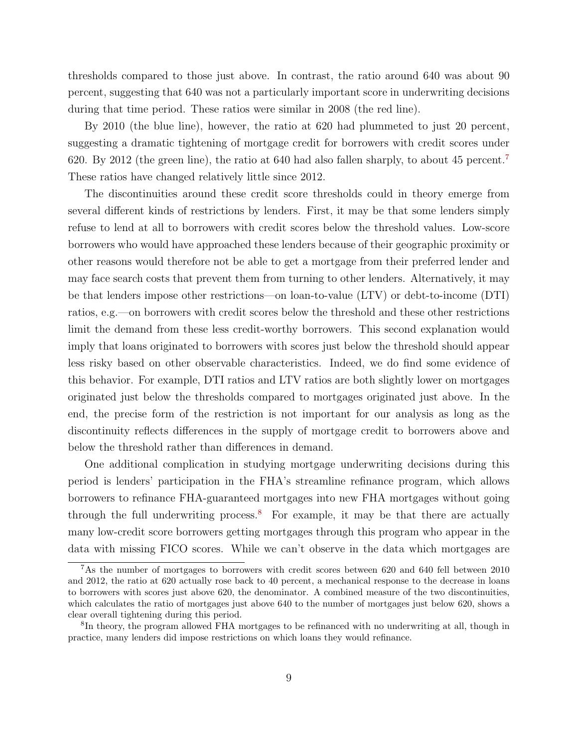thresholds compared to those just above. In contrast, the ratio around 640 was about 90 percent, suggesting that 640 was not a particularly important score in underwriting decisions during that time period. These ratios were similar in 2008 (the red line).

By 2010 (the blue line), however, the ratio at 620 had plummeted to just 20 percent, suggesting a dramatic tightening of mortgage credit for borrowers with credit scores under 620. By 2012 (the green line), the ratio at 640 had also fallen sharply, to about 45 percent.[7](#page-9-0) These ratios have changed relatively little since 2012.

The discontinuities around these credit score thresholds could in theory emerge from several different kinds of restrictions by lenders. First, it may be that some lenders simply refuse to lend at all to borrowers with credit scores below the threshold values. Low-score borrowers who would have approached these lenders because of their geographic proximity or other reasons would therefore not be able to get a mortgage from their preferred lender and may face search costs that prevent them from turning to other lenders. Alternatively, it may be that lenders impose other restrictions—on loan-to-value (LTV) or debt-to-income (DTI) ratios, e.g.—on borrowers with credit scores below the threshold and these other restrictions limit the demand from these less credit-worthy borrowers. This second explanation would imply that loans originated to borrowers with scores just below the threshold should appear less risky based on other observable characteristics. Indeed, we do find some evidence of this behavior. For example, DTI ratios and LTV ratios are both slightly lower on mortgages originated just below the thresholds compared to mortgages originated just above. In the end, the precise form of the restriction is not important for our analysis as long as the discontinuity reflects differences in the supply of mortgage credit to borrowers above and below the threshold rather than differences in demand.

One additional complication in studying mortgage underwriting decisions during this period is lenders' participation in the FHA's streamline refinance program, which allows borrowers to refinance FHA-guaranteed mortgages into new FHA mortgages without going through the full underwriting process.<sup>[8](#page-9-1)</sup> For example, it may be that there are actually many low-credit score borrowers getting mortgages through this program who appear in the data with missing FICO scores. While we can't observe in the data which mortgages are

<span id="page-9-0"></span><sup>&</sup>lt;sup>7</sup>As the number of mortgages to borrowers with credit scores between 620 and 640 fell between 2010 and 2012, the ratio at 620 actually rose back to 40 percent, a mechanical response to the decrease in loans to borrowers with scores just above 620, the denominator. A combined measure of the two discontinuities, which calculates the ratio of mortgages just above 640 to the number of mortgages just below 620, shows a clear overall tightening during this period.

<span id="page-9-1"></span><sup>&</sup>lt;sup>8</sup>In theory, the program allowed FHA mortgages to be refinanced with no underwriting at all, though in practice, many lenders did impose restrictions on which loans they would refinance.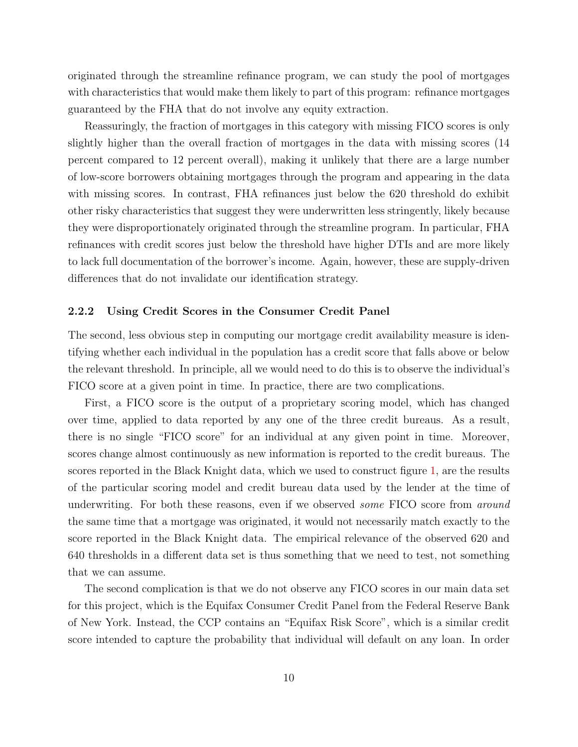originated through the streamline refinance program, we can study the pool of mortgages with characteristics that would make them likely to part of this program: refinance mortgages guaranteed by the FHA that do not involve any equity extraction.

Reassuringly, the fraction of mortgages in this category with missing FICO scores is only slightly higher than the overall fraction of mortgages in the data with missing scores (14 percent compared to 12 percent overall), making it unlikely that there are a large number of low-score borrowers obtaining mortgages through the program and appearing in the data with missing scores. In contrast, FHA refinances just below the 620 threshold do exhibit other risky characteristics that suggest they were underwritten less stringently, likely because they were disproportionately originated through the streamline program. In particular, FHA refinances with credit scores just below the threshold have higher DTIs and are more likely to lack full documentation of the borrower's income. Again, however, these are supply-driven differences that do not invalidate our identification strategy.

#### <span id="page-10-0"></span>2.2.2 Using Credit Scores in the Consumer Credit Panel

The second, less obvious step in computing our mortgage credit availability measure is identifying whether each individual in the population has a credit score that falls above or below the relevant threshold. In principle, all we would need to do this is to observe the individual's FICO score at a given point in time. In practice, there are two complications.

First, a FICO score is the output of a proprietary scoring model, which has changed over time, applied to data reported by any one of the three credit bureaus. As a result, there is no single "FICO score" for an individual at any given point in time. Moreover, scores change almost continuously as new information is reported to the credit bureaus. The scores reported in the Black Knight data, which we used to construct figure [1,](#page-35-0) are the results of the particular scoring model and credit bureau data used by the lender at the time of underwriting. For both these reasons, even if we observed *some* FICO score from *around* the same time that a mortgage was originated, it would not necessarily match exactly to the score reported in the Black Knight data. The empirical relevance of the observed 620 and 640 thresholds in a different data set is thus something that we need to test, not something that we can assume.

The second complication is that we do not observe any FICO scores in our main data set for this project, which is the Equifax Consumer Credit Panel from the Federal Reserve Bank of New York. Instead, the CCP contains an "Equifax Risk Score", which is a similar credit score intended to capture the probability that individual will default on any loan. In order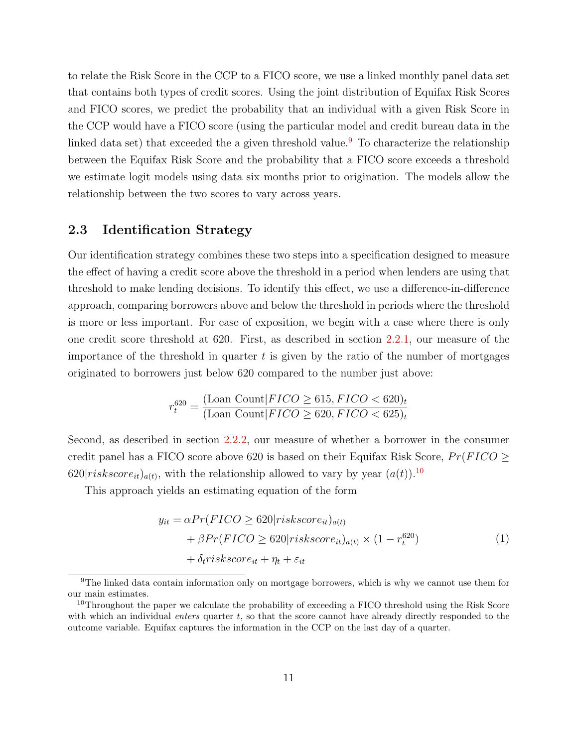to relate the Risk Score in the CCP to a FICO score, we use a linked monthly panel data set that contains both types of credit scores. Using the joint distribution of Equifax Risk Scores and FICO scores, we predict the probability that an individual with a given Risk Score in the CCP would have a FICO score (using the particular model and credit bureau data in the linked data set) that exceeded the a given threshold value.<sup>[9](#page-11-0)</sup> To characterize the relationship between the Equifax Risk Score and the probability that a FICO score exceeds a threshold we estimate logit models using data six months prior to origination. The models allow the relationship between the two scores to vary across years.

### 2.3 Identification Strategy

Our identification strategy combines these two steps into a specification designed to measure the effect of having a credit score above the threshold in a period when lenders are using that threshold to make lending decisions. To identify this effect, we use a difference-in-difference approach, comparing borrowers above and below the threshold in periods where the threshold is more or less important. For ease of exposition, we begin with a case where there is only one credit score threshold at 620. First, as described in section [2.2.1,](#page-8-1) our measure of the importance of the threshold in quarter  $t$  is given by the ratio of the number of mortgages originated to borrowers just below 620 compared to the number just above:

$$
r_t^{620} = \frac{(\text{Loan Count}|FICO \ge 615, FICO < 620)_t}{(\text{Loan Count}|FICO \ge 620, FICO < 625)_t}
$$

Second, as described in section [2.2.2,](#page-10-0) our measure of whether a borrower in the consumer credit panel has a FICO score above 620 is based on their Equifax Risk Score,  $Pr(FICO \geq$  $620|risk score_{it})_{a(t)}$ , with the relationship allowed to vary by year  $(a(t))$ .<sup>[10](#page-11-1)</sup>

<span id="page-11-2"></span>This approach yields an estimating equation of the form

$$
y_{it} = \alpha Pr(FIGO \ge 620 | risk score_{it})_{a(t)}
$$
  
+  $\beta Pr( FICO \ge 620 | riskscore_{it})_{a(t)} \times (1 - r_t^{620})$   
+  $\delta_t risk score_{it} + \eta_t + \varepsilon_{it}$  (1)

<span id="page-11-0"></span> $9$ The linked data contain information only on mortgage borrowers, which is why we cannot use them for our main estimates.

<span id="page-11-1"></span><sup>&</sup>lt;sup>10</sup>Throughout the paper we calculate the probability of exceeding a FICO threshold using the Risk Score with which an individual enters quarter  $t$ , so that the score cannot have already directly responded to the outcome variable. Equifax captures the information in the CCP on the last day of a quarter.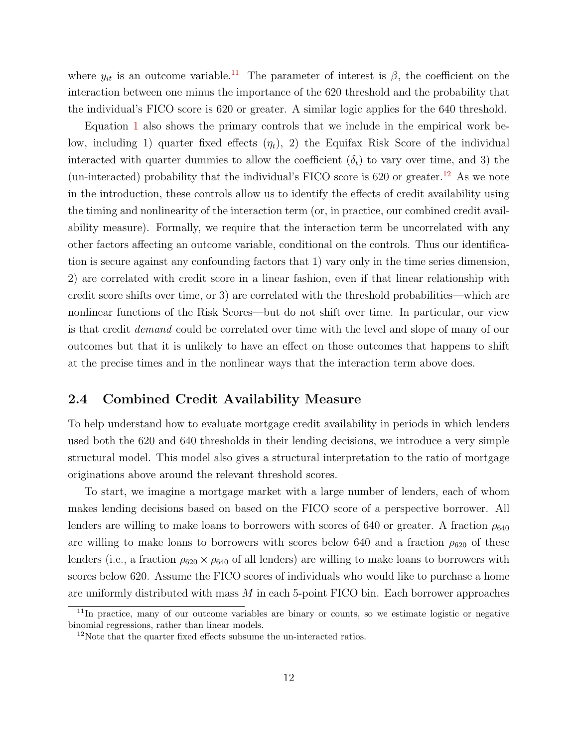where  $y_{it}$  is an outcome variable.<sup>[11](#page-12-0)</sup> The parameter of interest is  $\beta$ , the coefficient on the interaction between one minus the importance of the 620 threshold and the probability that the individual's FICO score is 620 or greater. A similar logic applies for the 640 threshold.

Equation [1](#page-11-2) also shows the primary controls that we include in the empirical work below, including 1) quarter fixed effects  $(\eta_t)$ , 2) the Equifax Risk Score of the individual interacted with quarter dummies to allow the coefficient  $(\delta_t)$  to vary over time, and 3) the (un-interacted) probability that the individual's FICO score is 620 or greater.<sup>[12](#page-12-1)</sup> As we note in the introduction, these controls allow us to identify the effects of credit availability using the timing and nonlinearity of the interaction term (or, in practice, our combined credit availability measure). Formally, we require that the interaction term be uncorrelated with any other factors affecting an outcome variable, conditional on the controls. Thus our identification is secure against any confounding factors that 1) vary only in the time series dimension, 2) are correlated with credit score in a linear fashion, even if that linear relationship with credit score shifts over time, or 3) are correlated with the threshold probabilities—which are nonlinear functions of the Risk Scores—but do not shift over time. In particular, our view is that credit demand could be correlated over time with the level and slope of many of our outcomes but that it is unlikely to have an effect on those outcomes that happens to shift at the precise times and in the nonlinear ways that the interaction term above does.

### 2.4 Combined Credit Availability Measure

To help understand how to evaluate mortgage credit availability in periods in which lenders used both the 620 and 640 thresholds in their lending decisions, we introduce a very simple structural model. This model also gives a structural interpretation to the ratio of mortgage originations above around the relevant threshold scores.

To start, we imagine a mortgage market with a large number of lenders, each of whom makes lending decisions based on based on the FICO score of a perspective borrower. All lenders are willing to make loans to borrowers with scores of 640 or greater. A fraction  $\rho_{640}$ are willing to make loans to borrowers with scores below 640 and a fraction  $\rho_{620}$  of these lenders (i.e., a fraction  $\rho_{620} \times \rho_{640}$  of all lenders) are willing to make loans to borrowers with scores below 620. Assume the FICO scores of individuals who would like to purchase a home are uniformly distributed with mass  $M$  in each 5-point FICO bin. Each borrower approaches

<span id="page-12-0"></span><sup>&</sup>lt;sup>11</sup>In practice, many of our outcome variables are binary or counts, so we estimate logistic or negative binomial regressions, rather than linear models.

<span id="page-12-1"></span> $12$ Note that the quarter fixed effects subsume the un-interacted ratios.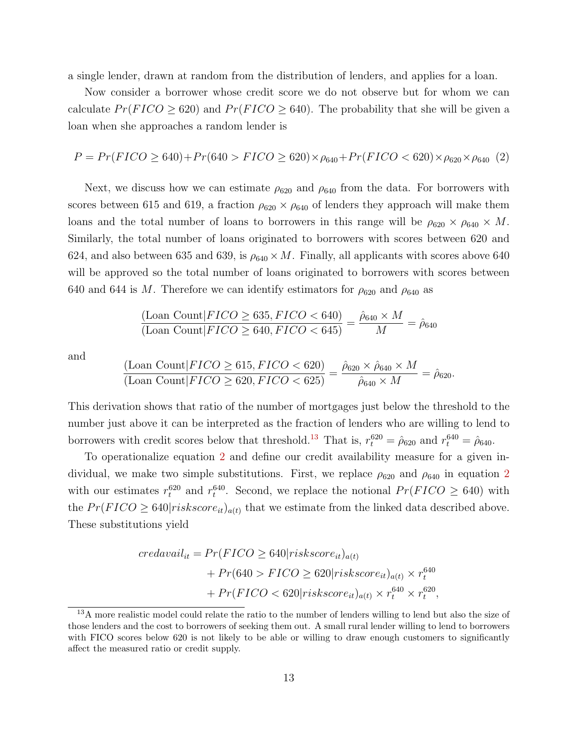a single lender, drawn at random from the distribution of lenders, and applies for a loan.

Now consider a borrower whose credit score we do not observe but for whom we can calculate  $Pr(FICO \geq 620)$  and  $Pr(FICO \geq 640)$ . The probability that she will be given a loan when she approaches a random lender is

<span id="page-13-1"></span>
$$
P = Pr(FIGO \ge 640) + Pr(640 > FICO \ge 620) \times \rho_{640} + Pr(FIGO < 620) \times \rho_{620} \times \rho_{640} (2)
$$

Next, we discuss how we can estimate  $\rho_{620}$  and  $\rho_{640}$  from the data. For borrowers with scores between 615 and 619, a fraction  $\rho_{620} \times \rho_{640}$  of lenders they approach will make them loans and the total number of loans to borrowers in this range will be  $\rho_{620} \times \rho_{640} \times M$ . Similarly, the total number of loans originated to borrowers with scores between 620 and 624, and also between 635 and 639, is  $\rho_{640} \times M$ . Finally, all applicants with scores above 640 will be approved so the total number of loans originated to borrowers with scores between 640 and 644 is M. Therefore we can identify estimators for  $\rho_{620}$  and  $\rho_{640}$  as

$$
\frac{(\text{Loan Count}|FICO \geq 635, FICO < 640)}{(\text{Loan Count}|FICO \geq 640, FICO < 645)} = \frac{\hat{\rho}_{640} \times M}{M} = \hat{\rho}_{640}
$$

and

$$
\frac{(\text{Loan Count}|FICO \geq 615, FICO < 620)}{(\text{Loan Count}|FICO \geq 620, FICO < 625)} = \frac{\hat{\rho}_{620} \times \hat{\rho}_{640} \times M}{\hat{\rho}_{640} \times M} = \hat{\rho}_{620}.
$$

This derivation shows that ratio of the number of mortgages just below the threshold to the number just above it can be interpreted as the fraction of lenders who are willing to lend to borrowers with credit scores below that threshold.<sup>[13](#page-13-0)</sup> That is,  $r_t^{620} = \hat{\rho}_{620}$  and  $r_t^{640} = \hat{\rho}_{640}$ .

To operationalize equation [2](#page-13-1) and define our credit availability measure for a given individual, we make two simple substitutions. First, we replace  $\rho_{620}$  $\rho_{620}$  $\rho_{620}$  and  $\rho_{640}$  in equation 2 with our estimates  $r_t^{620}$  and  $r_t^{640}$ . Second, we replace the notional  $Pr(FICO \ge 640)$  with the  $Pr(FICO \geq 640|risk score_{it})_{a(t)}$  that we estimate from the linked data described above. These substitutions yield

$$
credavail_{it} = Pr(FICO \ge 640|riskscore_{it})_{a(t)}
$$
  
+ 
$$
Pr(640 > FICO \ge 620|riskscore_{it})_{a(t)} \times r_t^{640}
$$
  
+ 
$$
Pr(FICO < 620|riskscore_{it})_{a(t)} \times r_t^{640} \times r_t^{620},
$$

<span id="page-13-0"></span><sup>&</sup>lt;sup>13</sup>A more realistic model could relate the ratio to the number of lenders willing to lend but also the size of those lenders and the cost to borrowers of seeking them out. A small rural lender willing to lend to borrowers with FICO scores below 620 is not likely to be able or willing to draw enough customers to significantly affect the measured ratio or credit supply.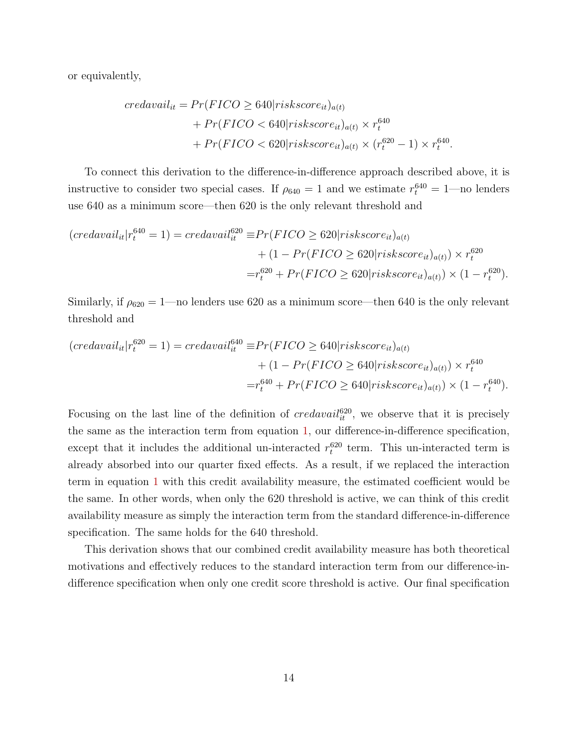or equivalently,

$$
credavail_{it} = Pr(FICO \ge 640|riskscore_{it})_{a(t)}
$$
  
+ 
$$
Pr(FICO < 640|riskscore_{it})_{a(t)} \times r_t^{640}
$$
  
+ 
$$
Pr(FICO < 620|riskscore_{it})_{a(t)} \times (r_t^{620} - 1) \times r_t^{640}.
$$

To connect this derivation to the difference-in-difference approach described above, it is instructive to consider two special cases. If  $\rho_{640} = 1$  and we estimate  $r_t^{640} = 1$ —no lenders use 640 as a minimum score—then 620 is the only relevant threshold and

$$
(credavailit|rt640 = 1) = credavailit620 \equiv Pr(FIGO \ge 620| riskscoreit)a(t) + (1 - Pr(FIGO \ge 620| riskscoreit)a(t)) \times rt620 = rt620 + Pr(FIGO \ge 620| riskscoreit)a(t)) \times (1 - rt620).
$$

Similarly, if  $\rho_{620} = 1$ —no lenders use 620 as a minimum score—then 640 is the only relevant threshold and

$$
(credavailit|rt620 = 1) = credavailit640 \equiv Pr(FIGO \ge 640|riskscoreit)a(t) + (1 - Pr(FIGO \ge 640|riskscoreit)a(t)) \times rt640 = rt640 + Pr(FIGO \ge 640|riskscoreit)a(t)) \times (1 - rt640).
$$

Focusing on the last line of the definition of  $credavail_{it}^{620}$ , we observe that it is precisely the same as the interaction term from equation [1,](#page-11-2) our difference-in-difference specification, except that it includes the additional un-interacted  $r_t^{620}$  term. This un-interacted term is already absorbed into our quarter fixed effects. As a result, if we replaced the interaction term in equation [1](#page-11-2) with this credit availability measure, the estimated coefficient would be the same. In other words, when only the 620 threshold is active, we can think of this credit availability measure as simply the interaction term from the standard difference-in-difference specification. The same holds for the 640 threshold.

This derivation shows that our combined credit availability measure has both theoretical motivations and effectively reduces to the standard interaction term from our difference-indifference specification when only one credit score threshold is active. Our final specification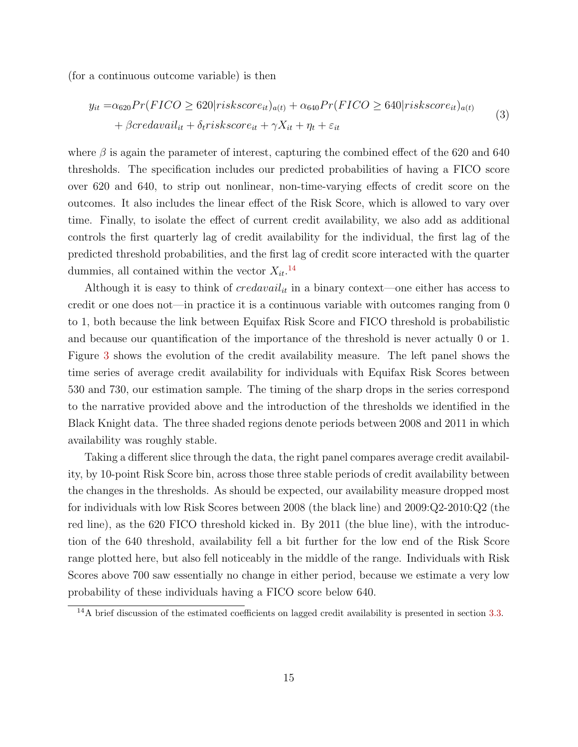(for a continuous outcome variable) is then

$$
y_{it} = \alpha_{620} Pr(FICO \ge 620|riskscore_{it})_{a(t)} + \alpha_{640} Pr(FICO \ge 640|riskscore_{it})_{a(t)} + \betacredavail_{it} + \delta_{tr}iskscore_{it} + \gamma X_{it} + \eta_t + \varepsilon_{it}
$$
\n(3)

where  $\beta$  is again the parameter of interest, capturing the combined effect of the 620 and 640 thresholds. The specification includes our predicted probabilities of having a FICO score over 620 and 640, to strip out nonlinear, non-time-varying effects of credit score on the outcomes. It also includes the linear effect of the Risk Score, which is allowed to vary over time. Finally, to isolate the effect of current credit availability, we also add as additional controls the first quarterly lag of credit availability for the individual, the first lag of the predicted threshold probabilities, and the first lag of credit score interacted with the quarter dummies, all contained within the vector  $X_{it}$ .<sup>[14](#page-15-0)</sup>

Although it is easy to think of  $credavail_{it}$  in a binary context—one either has access to credit or one does not—in practice it is a continuous variable with outcomes ranging from 0 to 1, both because the link between Equifax Risk Score and FICO threshold is probabilistic and because our quantification of the importance of the threshold is never actually 0 or 1. Figure [3](#page-37-0) shows the evolution of the credit availability measure. The left panel shows the time series of average credit availability for individuals with Equifax Risk Scores between 530 and 730, our estimation sample. The timing of the sharp drops in the series correspond to the narrative provided above and the introduction of the thresholds we identified in the Black Knight data. The three shaded regions denote periods between 2008 and 2011 in which availability was roughly stable.

Taking a different slice through the data, the right panel compares average credit availability, by 10-point Risk Score bin, across those three stable periods of credit availability between the changes in the thresholds. As should be expected, our availability measure dropped most for individuals with low Risk Scores between 2008 (the black line) and 2009:Q2-2010:Q2 (the red line), as the 620 FICO threshold kicked in. By 2011 (the blue line), with the introduction of the 640 threshold, availability fell a bit further for the low end of the Risk Score range plotted here, but also fell noticeably in the middle of the range. Individuals with Risk Scores above 700 saw essentially no change in either period, because we estimate a very low probability of these individuals having a FICO score below 640.

<span id="page-15-0"></span> $14A$  brief discussion of the estimated coefficients on lagged credit availability is presented in section [3.3.](#page-23-0)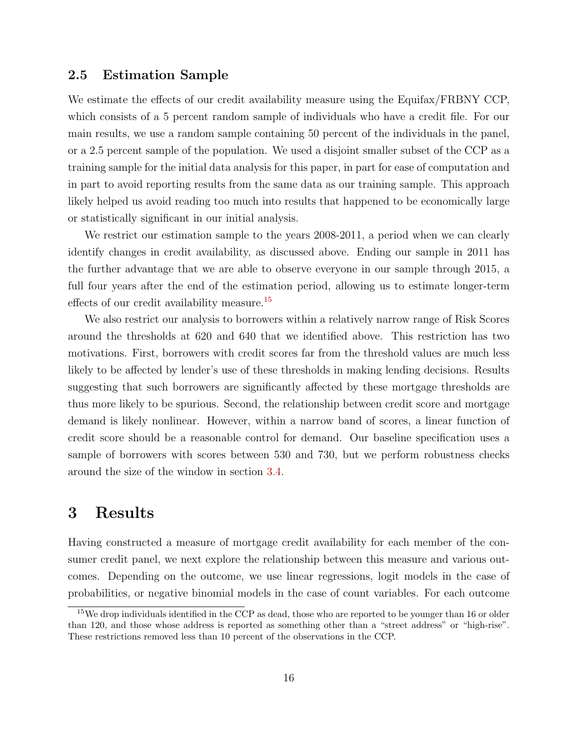#### 2.5 Estimation Sample

We estimate the effects of our credit availability measure using the Equifax/FRBNY CCP, which consists of a 5 percent random sample of individuals who have a credit file. For our main results, we use a random sample containing 50 percent of the individuals in the panel, or a 2.5 percent sample of the population. We used a disjoint smaller subset of the CCP as a training sample for the initial data analysis for this paper, in part for ease of computation and in part to avoid reporting results from the same data as our training sample. This approach likely helped us avoid reading too much into results that happened to be economically large or statistically significant in our initial analysis.

We restrict our estimation sample to the years 2008-2011, a period when we can clearly identify changes in credit availability, as discussed above. Ending our sample in 2011 has the further advantage that we are able to observe everyone in our sample through 2015, a full four years after the end of the estimation period, allowing us to estimate longer-term effects of our credit availability measure.<sup>[15](#page-16-1)</sup>

We also restrict our analysis to borrowers within a relatively narrow range of Risk Scores around the thresholds at 620 and 640 that we identified above. This restriction has two motivations. First, borrowers with credit scores far from the threshold values are much less likely to be affected by lender's use of these thresholds in making lending decisions. Results suggesting that such borrowers are significantly affected by these mortgage thresholds are thus more likely to be spurious. Second, the relationship between credit score and mortgage demand is likely nonlinear. However, within a narrow band of scores, a linear function of credit score should be a reasonable control for demand. Our baseline specification uses a sample of borrowers with scores between 530 and 730, but we perform robustness checks around the size of the window in section [3.4.](#page-24-0)

## <span id="page-16-0"></span>3 Results

Having constructed a measure of mortgage credit availability for each member of the consumer credit panel, we next explore the relationship between this measure and various outcomes. Depending on the outcome, we use linear regressions, logit models in the case of probabilities, or negative binomial models in the case of count variables. For each outcome

<span id="page-16-1"></span><sup>&</sup>lt;sup>15</sup>We drop individuals identified in the CCP as dead, those who are reported to be younger than 16 or older than 120, and those whose address is reported as something other than a "street address" or "high-rise". These restrictions removed less than 10 percent of the observations in the CCP.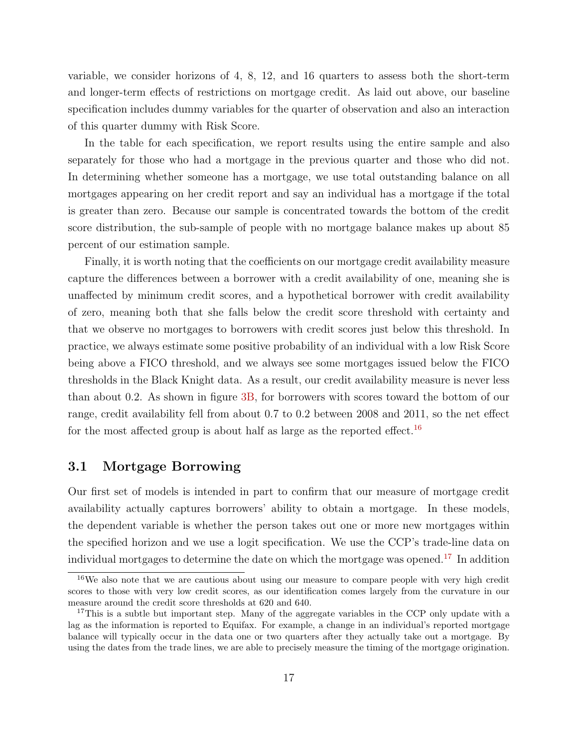variable, we consider horizons of 4, 8, 12, and 16 quarters to assess both the short-term and longer-term effects of restrictions on mortgage credit. As laid out above, our baseline specification includes dummy variables for the quarter of observation and also an interaction of this quarter dummy with Risk Score.

In the table for each specification, we report results using the entire sample and also separately for those who had a mortgage in the previous quarter and those who did not. In determining whether someone has a mortgage, we use total outstanding balance on all mortgages appearing on her credit report and say an individual has a mortgage if the total is greater than zero. Because our sample is concentrated towards the bottom of the credit score distribution, the sub-sample of people with no mortgage balance makes up about 85 percent of our estimation sample.

Finally, it is worth noting that the coefficients on our mortgage credit availability measure capture the differences between a borrower with a credit availability of one, meaning she is unaffected by minimum credit scores, and a hypothetical borrower with credit availability of zero, meaning both that she falls below the credit score threshold with certainty and that we observe no mortgages to borrowers with credit scores just below this threshold. In practice, we always estimate some positive probability of an individual with a low Risk Score being above a FICO threshold, and we always see some mortgages issued below the FICO thresholds in the Black Knight data. As a result, our credit availability measure is never less than about 0.2. As shown in figure [3B,](#page-37-1) for borrowers with scores toward the bottom of our range, credit availability fell from about 0.7 to 0.2 between 2008 and 2011, so the net effect for the most affected group is about half as large as the reported effect.<sup>[16](#page-17-0)</sup>

### 3.1 Mortgage Borrowing

Our first set of models is intended in part to confirm that our measure of mortgage credit availability actually captures borrowers' ability to obtain a mortgage. In these models, the dependent variable is whether the person takes out one or more new mortgages within the specified horizon and we use a logit specification. We use the CCP's trade-line data on individual mortgages to determine the date on which the mortgage was opened.[17](#page-17-1) In addition

<span id="page-17-0"></span><sup>&</sup>lt;sup>16</sup>We also note that we are cautious about using our measure to compare people with very high credit scores to those with very low credit scores, as our identification comes largely from the curvature in our measure around the credit score thresholds at 620 and 640.

<span id="page-17-1"></span><sup>&</sup>lt;sup>17</sup>This is a subtle but important step. Many of the aggregate variables in the CCP only update with a lag as the information is reported to Equifax. For example, a change in an individual's reported mortgage balance will typically occur in the data one or two quarters after they actually take out a mortgage. By using the dates from the trade lines, we are able to precisely measure the timing of the mortgage origination.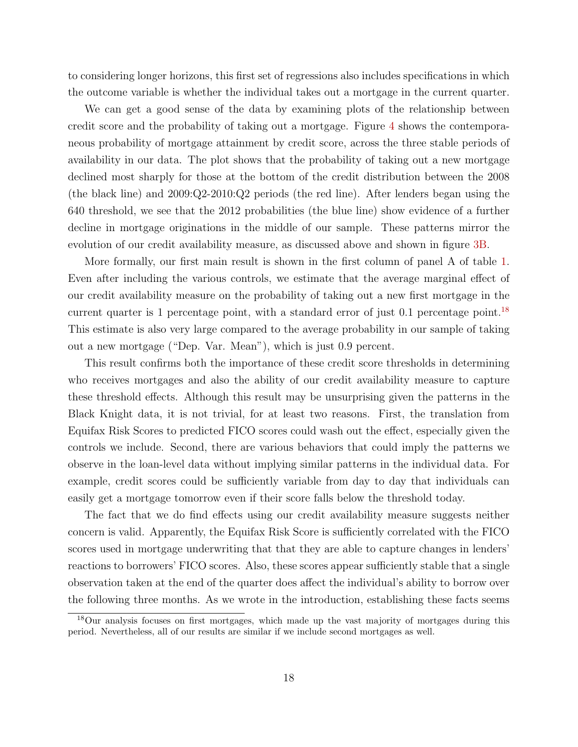to considering longer horizons, this first set of regressions also includes specifications in which the outcome variable is whether the individual takes out a mortgage in the current quarter.

We can get a good sense of the data by examining plots of the relationship between credit score and the probability of taking out a mortgage. Figure [4](#page-38-0) shows the contemporaneous probability of mortgage attainment by credit score, across the three stable periods of availability in our data. The plot shows that the probability of taking out a new mortgage declined most sharply for those at the bottom of the credit distribution between the 2008 (the black line) and 2009:Q2-2010:Q2 periods (the red line). After lenders began using the 640 threshold, we see that the 2012 probabilities (the blue line) show evidence of a further decline in mortgage originations in the middle of our sample. These patterns mirror the evolution of our credit availability measure, as discussed above and shown in figure [3B.](#page-37-1)

More formally, our first main result is shown in the first column of panel A of table [1.](#page-42-0) Even after including the various controls, we estimate that the average marginal effect of our credit availability measure on the probability of taking out a new first mortgage in the current quarter is 1 percentage point, with a standard error of just 0.1 percentage point.<sup>[18](#page-18-0)</sup> This estimate is also very large compared to the average probability in our sample of taking out a new mortgage ("Dep. Var. Mean"), which is just 0.9 percent.

This result confirms both the importance of these credit score thresholds in determining who receives mortgages and also the ability of our credit availability measure to capture these threshold effects. Although this result may be unsurprising given the patterns in the Black Knight data, it is not trivial, for at least two reasons. First, the translation from Equifax Risk Scores to predicted FICO scores could wash out the effect, especially given the controls we include. Second, there are various behaviors that could imply the patterns we observe in the loan-level data without implying similar patterns in the individual data. For example, credit scores could be sufficiently variable from day to day that individuals can easily get a mortgage tomorrow even if their score falls below the threshold today.

The fact that we do find effects using our credit availability measure suggests neither concern is valid. Apparently, the Equifax Risk Score is sufficiently correlated with the FICO scores used in mortgage underwriting that that they are able to capture changes in lenders' reactions to borrowers' FICO scores. Also, these scores appear sufficiently stable that a single observation taken at the end of the quarter does affect the individual's ability to borrow over the following three months. As we wrote in the introduction, establishing these facts seems

<span id="page-18-0"></span><sup>&</sup>lt;sup>18</sup>Our analysis focuses on first mortgages, which made up the vast majority of mortgages during this period. Nevertheless, all of our results are similar if we include second mortgages as well.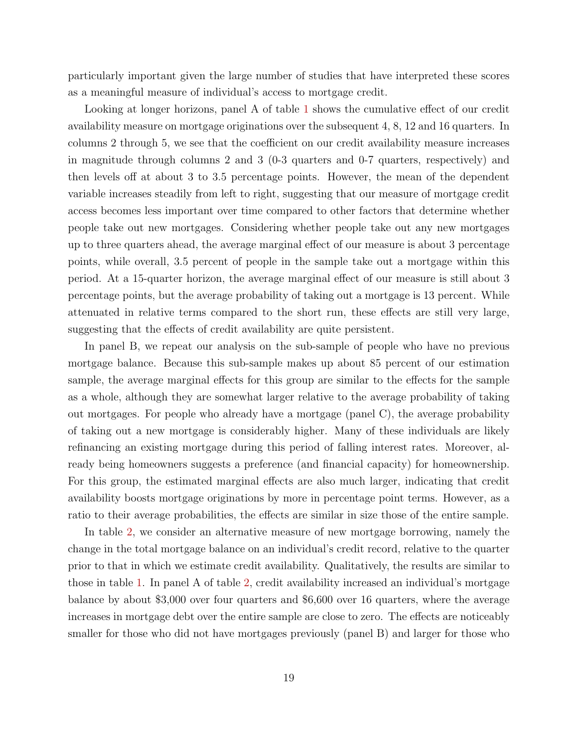particularly important given the large number of studies that have interpreted these scores as a meaningful measure of individual's access to mortgage credit.

Looking at longer horizons, panel A of table [1](#page-42-0) shows the cumulative effect of our credit availability measure on mortgage originations over the subsequent 4, 8, 12 and 16 quarters. In columns 2 through 5, we see that the coefficient on our credit availability measure increases in magnitude through columns 2 and 3 (0-3 quarters and 0-7 quarters, respectively) and then levels off at about 3 to 3.5 percentage points. However, the mean of the dependent variable increases steadily from left to right, suggesting that our measure of mortgage credit access becomes less important over time compared to other factors that determine whether people take out new mortgages. Considering whether people take out any new mortgages up to three quarters ahead, the average marginal effect of our measure is about 3 percentage points, while overall, 3.5 percent of people in the sample take out a mortgage within this period. At a 15-quarter horizon, the average marginal effect of our measure is still about 3 percentage points, but the average probability of taking out a mortgage is 13 percent. While attenuated in relative terms compared to the short run, these effects are still very large, suggesting that the effects of credit availability are quite persistent.

In panel B, we repeat our analysis on the sub-sample of people who have no previous mortgage balance. Because this sub-sample makes up about 85 percent of our estimation sample, the average marginal effects for this group are similar to the effects for the sample as a whole, although they are somewhat larger relative to the average probability of taking out mortgages. For people who already have a mortgage (panel C), the average probability of taking out a new mortgage is considerably higher. Many of these individuals are likely refinancing an existing mortgage during this period of falling interest rates. Moreover, already being homeowners suggests a preference (and financial capacity) for homeownership. For this group, the estimated marginal effects are also much larger, indicating that credit availability boosts mortgage originations by more in percentage point terms. However, as a ratio to their average probabilities, the effects are similar in size those of the entire sample.

In table [2,](#page-43-0) we consider an alternative measure of new mortgage borrowing, namely the change in the total mortgage balance on an individual's credit record, relative to the quarter prior to that in which we estimate credit availability. Qualitatively, the results are similar to those in table [1.](#page-42-0) In panel A of table [2,](#page-43-0) credit availability increased an individual's mortgage balance by about \$3,000 over four quarters and \$6,600 over 16 quarters, where the average increases in mortgage debt over the entire sample are close to zero. The effects are noticeably smaller for those who did not have mortgages previously (panel B) and larger for those who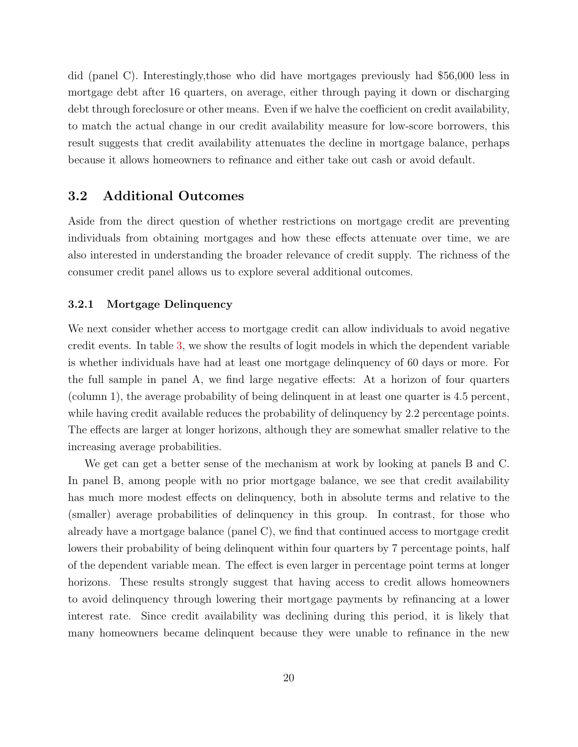did (panel C). Interestingly,those who did have mortgages previously had \$56,000 less in mortgage debt after 16 quarters, on average, either through paying it down or discharging debt through foreclosure or other means. Even if we halve the coefficient on credit availability, to match the actual change in our credit availability measure for low-score borrowers, this result suggests that credit availability attenuates the decline in mortgage balance, perhaps because it allows homeowners to refinance and either take out cash or avoid default.

#### 3.2 Additional Outcomes

Aside from the direct question of whether restrictions on mortgage credit are preventing individuals from obtaining mortgages and how these effects attenuate over time, we are also interested in understanding the broader relevance of credit supply. The richness of the consumer credit panel allows us to explore several additional outcomes.

#### 3.2.1 Mortgage Delinquency

We next consider whether access to mortgage credit can allow individuals to avoid negative credit events. In table [3,](#page-44-0) we show the results of logit models in which the dependent variable is whether individuals have had at least one mortgage delinquency of 60 days or more. For the full sample in panel A, we find large negative effects: At a horizon of four quarters (column 1), the average probability of being delinquent in at least one quarter is 4.5 percent, while having credit available reduces the probability of delinquency by 2.2 percentage points. The effects are larger at longer horizons, although they are somewhat smaller relative to the increasing average probabilities.

We get can get a better sense of the mechanism at work by looking at panels B and C. In panel B, among people with no prior mortgage balance, we see that credit availability has much more modest effects on delinquency, both in absolute terms and relative to the (smaller) average probabilities of delinquency in this group. In contrast, for those who already have a mortgage balance (panel C), we find that continued access to mortgage credit lowers their probability of being delinquent within four quarters by 7 percentage points, half of the dependent variable mean. The effect is even larger in percentage point terms at longer horizons. These results strongly suggest that having access to credit allows homeowners to avoid delinquency through lowering their mortgage payments by refinancing at a lower interest rate. Since credit availability was declining during this period, it is likely that many homeowners became delinquent because they were unable to refinance in the new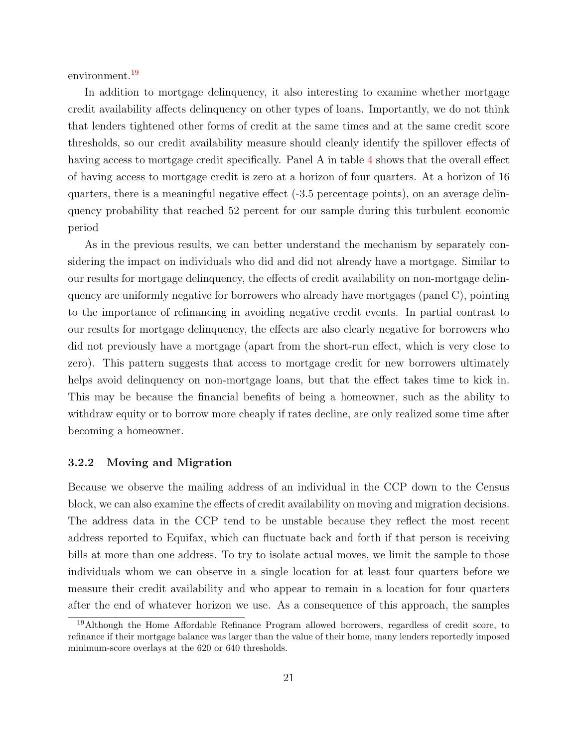environment.<sup>[19](#page-21-0)</sup>

In addition to mortgage delinquency, it also interesting to examine whether mortgage credit availability affects delinquency on other types of loans. Importantly, we do not think that lenders tightened other forms of credit at the same times and at the same credit score thresholds, so our credit availability measure should cleanly identify the spillover effects of having access to mortgage credit specifically. Panel A in table [4](#page-45-0) shows that the overall effect of having access to mortgage credit is zero at a horizon of four quarters. At a horizon of 16 quarters, there is a meaningful negative effect (-3.5 percentage points), on an average delinquency probability that reached 52 percent for our sample during this turbulent economic period

As in the previous results, we can better understand the mechanism by separately considering the impact on individuals who did and did not already have a mortgage. Similar to our results for mortgage delinquency, the effects of credit availability on non-mortgage delinquency are uniformly negative for borrowers who already have mortgages (panel C), pointing to the importance of refinancing in avoiding negative credit events. In partial contrast to our results for mortgage delinquency, the effects are also clearly negative for borrowers who did not previously have a mortgage (apart from the short-run effect, which is very close to zero). This pattern suggests that access to mortgage credit for new borrowers ultimately helps avoid delinquency on non-mortgage loans, but that the effect takes time to kick in. This may be because the financial benefits of being a homeowner, such as the ability to withdraw equity or to borrow more cheaply if rates decline, are only realized some time after becoming a homeowner.

#### 3.2.2 Moving and Migration

Because we observe the mailing address of an individual in the CCP down to the Census block, we can also examine the effects of credit availability on moving and migration decisions. The address data in the CCP tend to be unstable because they reflect the most recent address reported to Equifax, which can fluctuate back and forth if that person is receiving bills at more than one address. To try to isolate actual moves, we limit the sample to those individuals whom we can observe in a single location for at least four quarters before we measure their credit availability and who appear to remain in a location for four quarters after the end of whatever horizon we use. As a consequence of this approach, the samples

<span id="page-21-0"></span><sup>19</sup>Although the Home Affordable Refinance Program allowed borrowers, regardless of credit score, to refinance if their mortgage balance was larger than the value of their home, many lenders reportedly imposed minimum-score overlays at the 620 or 640 thresholds.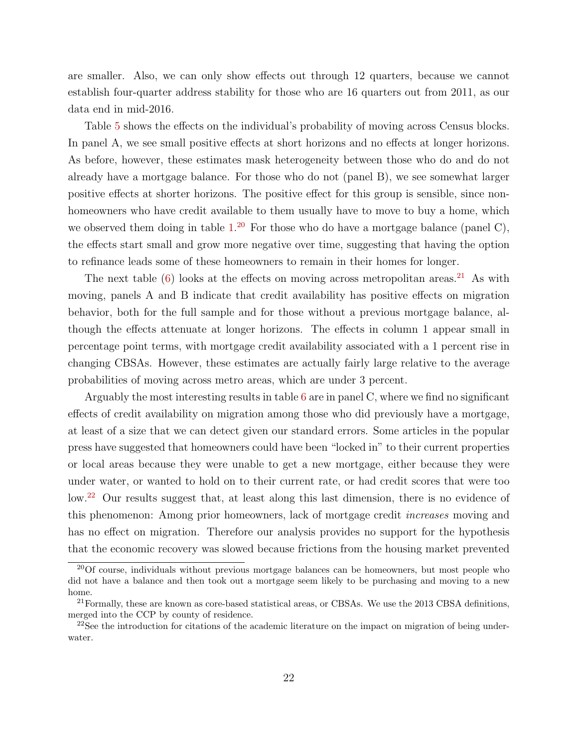are smaller. Also, we can only show effects out through 12 quarters, because we cannot establish four-quarter address stability for those who are 16 quarters out from 2011, as our data end in mid-2016.

Table [5](#page-46-0) shows the effects on the individual's probability of moving across Census blocks. In panel A, we see small positive effects at short horizons and no effects at longer horizons. As before, however, these estimates mask heterogeneity between those who do and do not already have a mortgage balance. For those who do not (panel B), we see somewhat larger positive effects at shorter horizons. The positive effect for this group is sensible, since nonhomeowners who have credit available to them usually have to move to buy a home, which we observed them doing in table  $1.^{20}$  $1.^{20}$  $1.^{20}$  $1.^{20}$  For those who do have a mortgage balance (panel C), the effects start small and grow more negative over time, suggesting that having the option to refinance leads some of these homeowners to remain in their homes for longer.

The next table  $(6)$  looks at the effects on moving across metropolitan areas.<sup>[21](#page-22-1)</sup> As with moving, panels A and B indicate that credit availability has positive effects on migration behavior, both for the full sample and for those without a previous mortgage balance, although the effects attenuate at longer horizons. The effects in column 1 appear small in percentage point terms, with mortgage credit availability associated with a 1 percent rise in changing CBSAs. However, these estimates are actually fairly large relative to the average probabilities of moving across metro areas, which are under 3 percent.

Arguably the most interesting results in table  $6$  are in panel C, where we find no significant effects of credit availability on migration among those who did previously have a mortgage, at least of a size that we can detect given our standard errors. Some articles in the popular press have suggested that homeowners could have been "locked in" to their current properties or local areas because they were unable to get a new mortgage, either because they were under water, or wanted to hold on to their current rate, or had credit scores that were too low.<sup>[22](#page-22-2)</sup> Our results suggest that, at least along this last dimension, there is no evidence of this phenomenon: Among prior homeowners, lack of mortgage credit increases moving and has no effect on migration. Therefore our analysis provides no support for the hypothesis that the economic recovery was slowed because frictions from the housing market prevented

<span id="page-22-0"></span><sup>&</sup>lt;sup>20</sup>Of course, individuals without previous mortgage balances can be homeowners, but most people who did not have a balance and then took out a mortgage seem likely to be purchasing and moving to a new home.

<span id="page-22-1"></span><sup>&</sup>lt;sup>21</sup>Formally, these are known as core-based statistical areas, or CBSAs. We use the 2013 CBSA definitions, merged into the CCP by county of residence.

<span id="page-22-2"></span><sup>&</sup>lt;sup>22</sup>See the introduction for citations of the academic literature on the impact on migration of being underwater.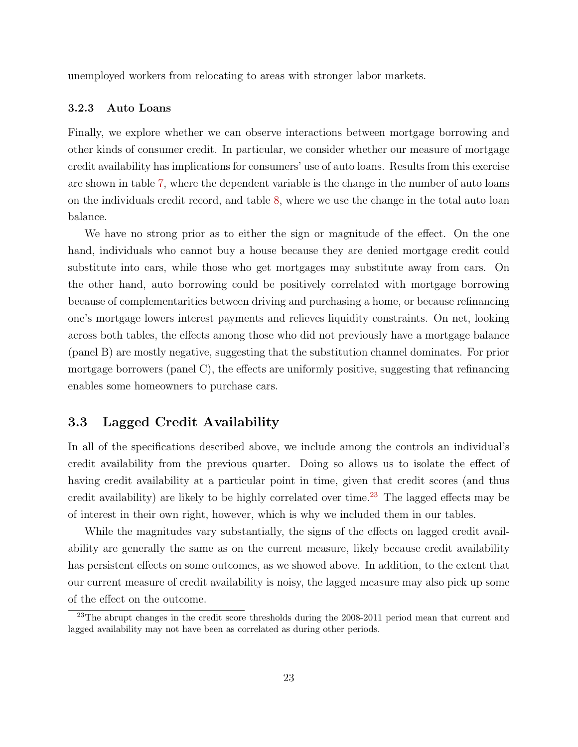unemployed workers from relocating to areas with stronger labor markets.

#### 3.2.3 Auto Loans

Finally, we explore whether we can observe interactions between mortgage borrowing and other kinds of consumer credit. In particular, we consider whether our measure of mortgage credit availability has implications for consumers' use of auto loans. Results from this exercise are shown in table [7,](#page-48-0) where the dependent variable is the change in the number of auto loans on the individuals credit record, and table [8,](#page-49-0) where we use the change in the total auto loan balance.

We have no strong prior as to either the sign or magnitude of the effect. On the one hand, individuals who cannot buy a house because they are denied mortgage credit could substitute into cars, while those who get mortgages may substitute away from cars. On the other hand, auto borrowing could be positively correlated with mortgage borrowing because of complementarities between driving and purchasing a home, or because refinancing one's mortgage lowers interest payments and relieves liquidity constraints. On net, looking across both tables, the effects among those who did not previously have a mortgage balance (panel B) are mostly negative, suggesting that the substitution channel dominates. For prior mortgage borrowers (panel C), the effects are uniformly positive, suggesting that refinancing enables some homeowners to purchase cars.

### <span id="page-23-0"></span>3.3 Lagged Credit Availability

In all of the specifications described above, we include among the controls an individual's credit availability from the previous quarter. Doing so allows us to isolate the effect of having credit availability at a particular point in time, given that credit scores (and thus credit availability) are likely to be highly correlated over time.<sup>[23](#page-23-1)</sup> The lagged effects may be of interest in their own right, however, which is why we included them in our tables.

While the magnitudes vary substantially, the signs of the effects on lagged credit availability are generally the same as on the current measure, likely because credit availability has persistent effects on some outcomes, as we showed above. In addition, to the extent that our current measure of credit availability is noisy, the lagged measure may also pick up some of the effect on the outcome.

<span id="page-23-1"></span> $23$ The abrupt changes in the credit score thresholds during the  $2008-2011$  period mean that current and lagged availability may not have been as correlated as during other periods.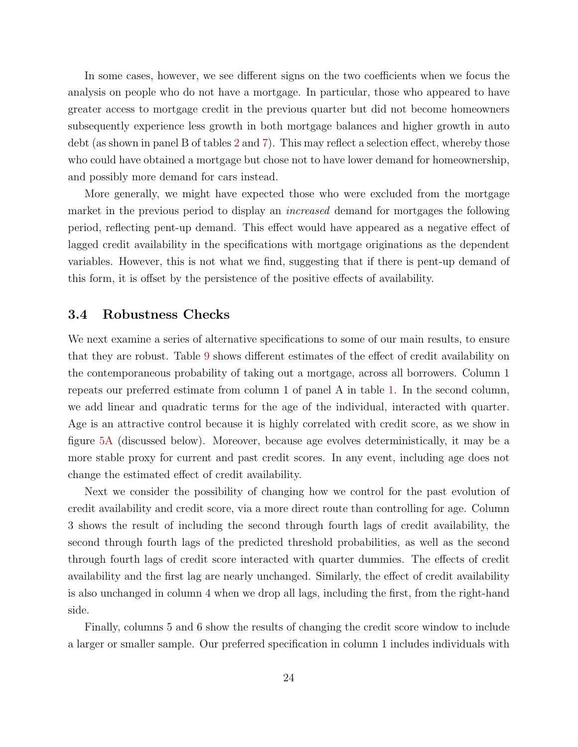In some cases, however, we see different signs on the two coefficients when we focus the analysis on people who do not have a mortgage. In particular, those who appeared to have greater access to mortgage credit in the previous quarter but did not become homeowners subsequently experience less growth in both mortgage balances and higher growth in auto debt (as shown in panel B of tables [2](#page-43-0) and [7\)](#page-48-0). This may reflect a selection effect, whereby those who could have obtained a mortgage but chose not to have lower demand for homeownership, and possibly more demand for cars instead.

More generally, we might have expected those who were excluded from the mortgage market in the previous period to display an *increased* demand for mortgages the following period, reflecting pent-up demand. This effect would have appeared as a negative effect of lagged credit availability in the specifications with mortgage originations as the dependent variables. However, this is not what we find, suggesting that if there is pent-up demand of this form, it is offset by the persistence of the positive effects of availability.

#### <span id="page-24-0"></span>3.4 Robustness Checks

We next examine a series of alternative specifications to some of our main results, to ensure that they are robust. Table [9](#page-50-0) shows different estimates of the effect of credit availability on the contemporaneous probability of taking out a mortgage, across all borrowers. Column 1 repeats our preferred estimate from column 1 of panel A in table [1.](#page-42-0) In the second column, we add linear and quadratic terms for the age of the individual, interacted with quarter. Age is an attractive control because it is highly correlated with credit score, as we show in figure [5A](#page-39-0) (discussed below). Moreover, because age evolves deterministically, it may be a more stable proxy for current and past credit scores. In any event, including age does not change the estimated effect of credit availability.

Next we consider the possibility of changing how we control for the past evolution of credit availability and credit score, via a more direct route than controlling for age. Column 3 shows the result of including the second through fourth lags of credit availability, the second through fourth lags of the predicted threshold probabilities, as well as the second through fourth lags of credit score interacted with quarter dummies. The effects of credit availability and the first lag are nearly unchanged. Similarly, the effect of credit availability is also unchanged in column 4 when we drop all lags, including the first, from the right-hand side.

Finally, columns 5 and 6 show the results of changing the credit score window to include a larger or smaller sample. Our preferred specification in column 1 includes individuals with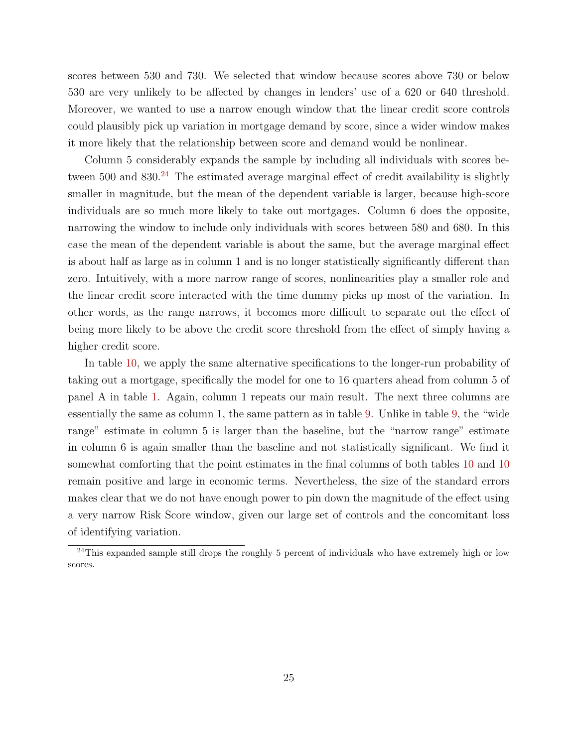scores between 530 and 730. We selected that window because scores above 730 or below 530 are very unlikely to be affected by changes in lenders' use of a 620 or 640 threshold. Moreover, we wanted to use a narrow enough window that the linear credit score controls could plausibly pick up variation in mortgage demand by score, since a wider window makes it more likely that the relationship between score and demand would be nonlinear.

Column 5 considerably expands the sample by including all individuals with scores between 500 and  $830<sup>24</sup>$  $830<sup>24</sup>$  $830<sup>24</sup>$ . The estimated average marginal effect of credit availability is slightly smaller in magnitude, but the mean of the dependent variable is larger, because high-score individuals are so much more likely to take out mortgages. Column 6 does the opposite, narrowing the window to include only individuals with scores between 580 and 680. In this case the mean of the dependent variable is about the same, but the average marginal effect is about half as large as in column 1 and is no longer statistically significantly different than zero. Intuitively, with a more narrow range of scores, nonlinearities play a smaller role and the linear credit score interacted with the time dummy picks up most of the variation. In other words, as the range narrows, it becomes more difficult to separate out the effect of being more likely to be above the credit score threshold from the effect of simply having a higher credit score.

In table [10,](#page-51-0) we apply the same alternative specifications to the longer-run probability of taking out a mortgage, specifically the model for one to 16 quarters ahead from column 5 of panel A in table [1.](#page-42-0) Again, column 1 repeats our main result. The next three columns are essentially the same as column 1, the same pattern as in table [9.](#page-50-0) Unlike in table [9,](#page-50-0) the "wide range" estimate in column 5 is larger than the baseline, but the "narrow range" estimate in column 6 is again smaller than the baseline and not statistically significant. We find it somewhat comforting that the point estimates in the final columns of both tables [10](#page-51-0) and [10](#page-51-0) remain positive and large in economic terms. Nevertheless, the size of the standard errors makes clear that we do not have enough power to pin down the magnitude of the effect using a very narrow Risk Score window, given our large set of controls and the concomitant loss of identifying variation.

<span id="page-25-0"></span> $^{24}$ This expanded sample still drops the roughly 5 percent of individuals who have extremely high or low scores.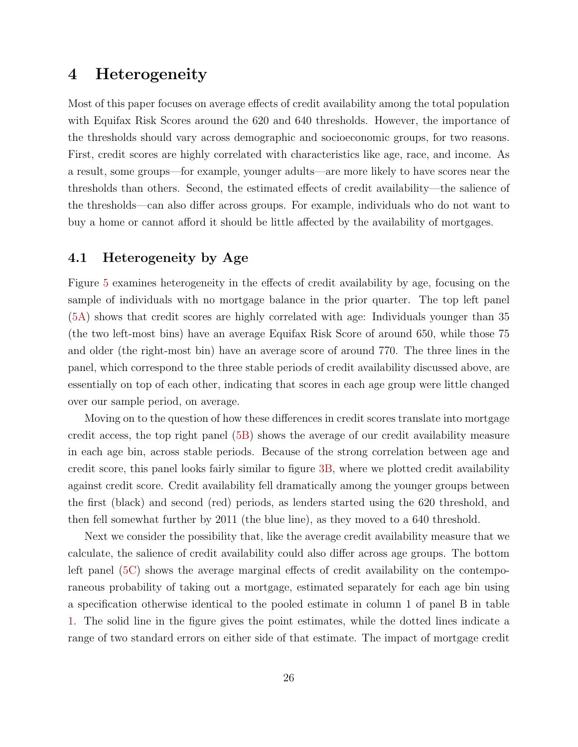# <span id="page-26-0"></span>4 Heterogeneity

Most of this paper focuses on average effects of credit availability among the total population with Equifax Risk Scores around the 620 and 640 thresholds. However, the importance of the thresholds should vary across demographic and socioeconomic groups, for two reasons. First, credit scores are highly correlated with characteristics like age, race, and income. As a result, some groups—for example, younger adults—are more likely to have scores near the thresholds than others. Second, the estimated effects of credit availability—the salience of the thresholds—can also differ across groups. For example, individuals who do not want to buy a home or cannot afford it should be little affected by the availability of mortgages.

### 4.1 Heterogeneity by Age

Figure [5](#page-39-1) examines heterogeneity in the effects of credit availability by age, focusing on the sample of individuals with no mortgage balance in the prior quarter. The top left panel [\(5A\)](#page-39-0) shows that credit scores are highly correlated with age: Individuals younger than 35 (the two left-most bins) have an average Equifax Risk Score of around 650, while those 75 and older (the right-most bin) have an average score of around 770. The three lines in the panel, which correspond to the three stable periods of credit availability discussed above, are essentially on top of each other, indicating that scores in each age group were little changed over our sample period, on average.

Moving on to the question of how these differences in credit scores translate into mortgage credit access, the top right panel [\(5B\)](#page-39-2) shows the average of our credit availability measure in each age bin, across stable periods. Because of the strong correlation between age and credit score, this panel looks fairly similar to figure [3B,](#page-37-1) where we plotted credit availability against credit score. Credit availability fell dramatically among the younger groups between the first (black) and second (red) periods, as lenders started using the 620 threshold, and then fell somewhat further by 2011 (the blue line), as they moved to a 640 threshold.

Next we consider the possibility that, like the average credit availability measure that we calculate, the salience of credit availability could also differ across age groups. The bottom left panel [\(5C\)](#page-39-3) shows the average marginal effects of credit availability on the contemporaneous probability of taking out a mortgage, estimated separately for each age bin using a specification otherwise identical to the pooled estimate in column 1 of panel B in table [1.](#page-42-0) The solid line in the figure gives the point estimates, while the dotted lines indicate a range of two standard errors on either side of that estimate. The impact of mortgage credit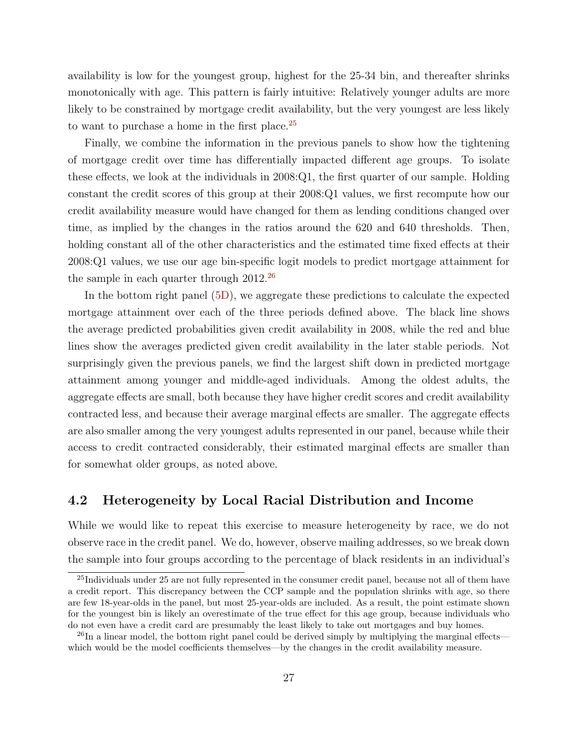availability is low for the youngest group, highest for the 25-34 bin, and thereafter shrinks monotonically with age. This pattern is fairly intuitive: Relatively younger adults are more likely to be constrained by mortgage credit availability, but the very youngest are less likely to want to purchase a home in the first place.[25](#page-27-0)

Finally, we combine the information in the previous panels to show how the tightening of mortgage credit over time has differentially impacted different age groups. To isolate these effects, we look at the individuals in 2008:Q1, the first quarter of our sample. Holding constant the credit scores of this group at their 2008:Q1 values, we first recompute how our credit availability measure would have changed for them as lending conditions changed over time, as implied by the changes in the ratios around the 620 and 640 thresholds. Then, holding constant all of the other characteristics and the estimated time fixed effects at their 2008:Q1 values, we use our age bin-specific logit models to predict mortgage attainment for the sample in each quarter through  $2012^{26}$  $2012^{26}$  $2012^{26}$ 

In the bottom right panel [\(5D\)](#page-39-4), we aggregate these predictions to calculate the expected mortgage attainment over each of the three periods defined above. The black line shows the average predicted probabilities given credit availability in 2008, while the red and blue lines show the averages predicted given credit availability in the later stable periods. Not surprisingly given the previous panels, we find the largest shift down in predicted mortgage attainment among younger and middle-aged individuals. Among the oldest adults, the aggregate effects are small, both because they have higher credit scores and credit availability contracted less, and because their average marginal effects are smaller. The aggregate effects are also smaller among the very youngest adults represented in our panel, because while their access to credit contracted considerably, their estimated marginal effects are smaller than for somewhat older groups, as noted above.

#### 4.2 Heterogeneity by Local Racial Distribution and Income

While we would like to repeat this exercise to measure heterogeneity by race, we do not observe race in the credit panel. We do, however, observe mailing addresses, so we break down the sample into four groups according to the percentage of black residents in an individual's

<span id="page-27-0"></span><sup>&</sup>lt;sup>25</sup>Individuals under 25 are not fully represented in the consumer credit panel, because not all of them have a credit report. This discrepancy between the CCP sample and the population shrinks with age, so there are few 18-year-olds in the panel, but most 25-year-olds are included. As a result, the point estimate shown for the youngest bin is likely an overestimate of the true effect for this age group, because individuals who do not even have a credit card are presumably the least likely to take out mortgages and buy homes.

<span id="page-27-1"></span> $^{26}$ In a linear model, the bottom right panel could be derived simply by multiplying the marginal effects which would be the model coefficients themselves—by the changes in the credit availability measure.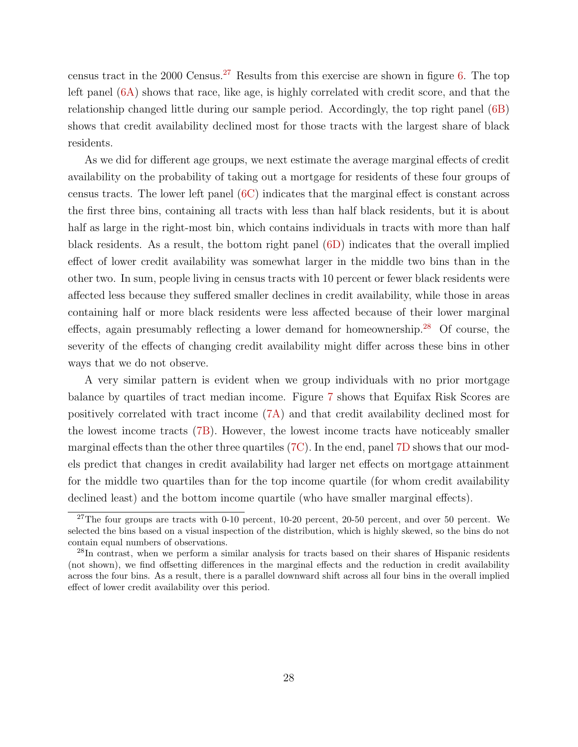census tract in the 2000 Census.<sup>[27](#page-28-0)</sup> Results from this exercise are shown in figure [6.](#page-40-0) The top left panel [\(6A\)](#page-40-1) shows that race, like age, is highly correlated with credit score, and that the relationship changed little during our sample period. Accordingly, the top right panel [\(6B\)](#page-40-2) shows that credit availability declined most for those tracts with the largest share of black residents.

As we did for different age groups, we next estimate the average marginal effects of credit availability on the probability of taking out a mortgage for residents of these four groups of census tracts. The lower left panel [\(6C\)](#page-40-3) indicates that the marginal effect is constant across the first three bins, containing all tracts with less than half black residents, but it is about half as large in the right-most bin, which contains individuals in tracts with more than half black residents. As a result, the bottom right panel [\(6D\)](#page-40-4) indicates that the overall implied effect of lower credit availability was somewhat larger in the middle two bins than in the other two. In sum, people living in census tracts with 10 percent or fewer black residents were affected less because they suffered smaller declines in credit availability, while those in areas containing half or more black residents were less affected because of their lower marginal effects, again presumably reflecting a lower demand for homeownership.<sup>[28](#page-28-1)</sup> Of course, the severity of the effects of changing credit availability might differ across these bins in other ways that we do not observe.

A very similar pattern is evident when we group individuals with no prior mortgage balance by quartiles of tract median income. Figure [7](#page-41-0) shows that Equifax Risk Scores are positively correlated with tract income [\(7A\)](#page-41-1) and that credit availability declined most for the lowest income tracts [\(7B\)](#page-41-2). However, the lowest income tracts have noticeably smaller marginal effects than the other three quartiles [\(7C\)](#page-41-3). In the end, panel [7D](#page-41-4) shows that our models predict that changes in credit availability had larger net effects on mortgage attainment for the middle two quartiles than for the top income quartile (for whom credit availability declined least) and the bottom income quartile (who have smaller marginal effects).

<span id="page-28-0"></span> $27$ The four groups are tracts with 0-10 percent, 10-20 percent, 20-50 percent, and over 50 percent. We selected the bins based on a visual inspection of the distribution, which is highly skewed, so the bins do not contain equal numbers of observations.

<span id="page-28-1"></span><sup>&</sup>lt;sup>28</sup>In contrast, when we perform a similar analysis for tracts based on their shares of Hispanic residents (not shown), we find offsetting differences in the marginal effects and the reduction in credit availability across the four bins. As a result, there is a parallel downward shift across all four bins in the overall implied effect of lower credit availability over this period.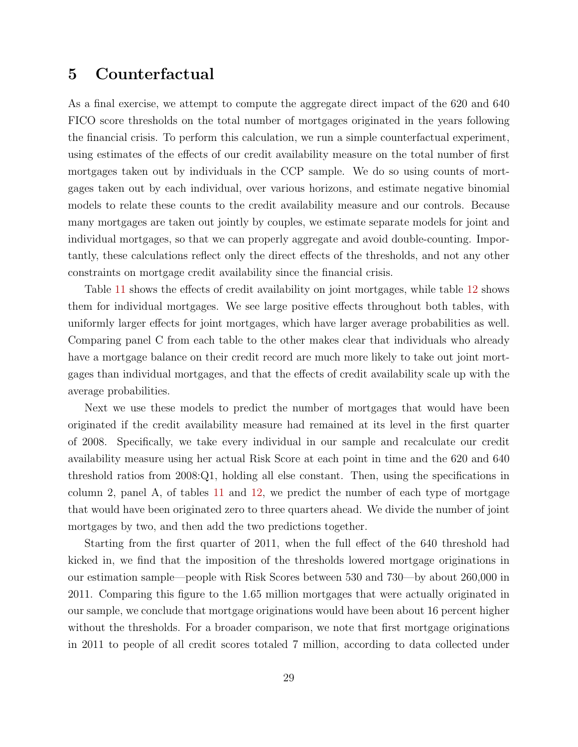# <span id="page-29-0"></span>5 Counterfactual

As a final exercise, we attempt to compute the aggregate direct impact of the 620 and 640 FICO score thresholds on the total number of mortgages originated in the years following the financial crisis. To perform this calculation, we run a simple counterfactual experiment, using estimates of the effects of our credit availability measure on the total number of first mortgages taken out by individuals in the CCP sample. We do so using counts of mortgages taken out by each individual, over various horizons, and estimate negative binomial models to relate these counts to the credit availability measure and our controls. Because many mortgages are taken out jointly by couples, we estimate separate models for joint and individual mortgages, so that we can properly aggregate and avoid double-counting. Importantly, these calculations reflect only the direct effects of the thresholds, and not any other constraints on mortgage credit availability since the financial crisis.

Table [11](#page-52-0) shows the effects of credit availability on joint mortgages, while table [12](#page-53-0) shows them for individual mortgages. We see large positive effects throughout both tables, with uniformly larger effects for joint mortgages, which have larger average probabilities as well. Comparing panel C from each table to the other makes clear that individuals who already have a mortgage balance on their credit record are much more likely to take out joint mortgages than individual mortgages, and that the effects of credit availability scale up with the average probabilities.

Next we use these models to predict the number of mortgages that would have been originated if the credit availability measure had remained at its level in the first quarter of 2008. Specifically, we take every individual in our sample and recalculate our credit availability measure using her actual Risk Score at each point in time and the 620 and 640 threshold ratios from 2008:Q1, holding all else constant. Then, using the specifications in column 2, panel A, of tables [11](#page-52-0) and [12,](#page-53-0) we predict the number of each type of mortgage that would have been originated zero to three quarters ahead. We divide the number of joint mortgages by two, and then add the two predictions together.

Starting from the first quarter of 2011, when the full effect of the 640 threshold had kicked in, we find that the imposition of the thresholds lowered mortgage originations in our estimation sample—people with Risk Scores between 530 and 730—by about 260,000 in 2011. Comparing this figure to the 1.65 million mortgages that were actually originated in our sample, we conclude that mortgage originations would have been about 16 percent higher without the thresholds. For a broader comparison, we note that first mortgage originations in 2011 to people of all credit scores totaled 7 million, according to data collected under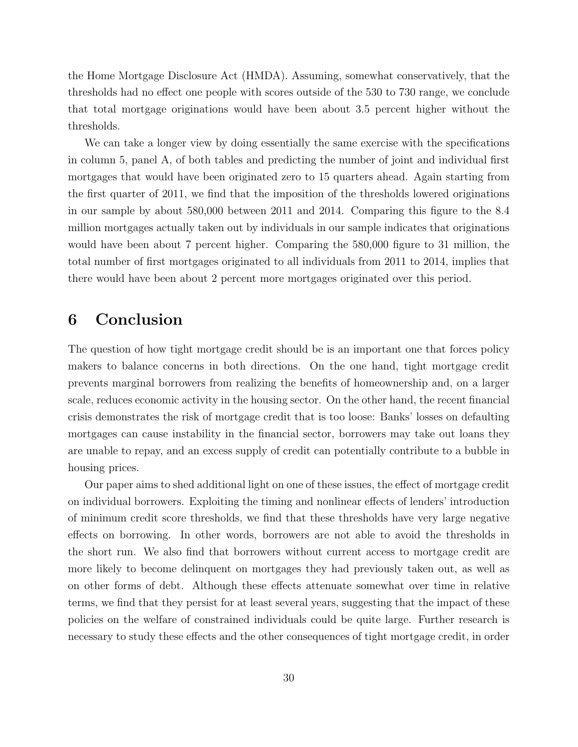the Home Mortgage Disclosure Act (HMDA). Assuming, somewhat conservatively, that the thresholds had no effect one people with scores outside of the 530 to 730 range, we conclude that total mortgage originations would have been about 3.5 percent higher without the thresholds.

We can take a longer view by doing essentially the same exercise with the specifications in column 5, panel A, of both tables and predicting the number of joint and individual first mortgages that would have been originated zero to 15 quarters ahead. Again starting from the first quarter of 2011, we find that the imposition of the thresholds lowered originations in our sample by about 580,000 between 2011 and 2014. Comparing this figure to the 8.4 million mortgages actually taken out by individuals in our sample indicates that originations would have been about 7 percent higher. Comparing the 580,000 figure to 31 million, the total number of first mortgages originated to all individuals from 2011 to 2014, implies that there would have been about 2 percent more mortgages originated over this period.

# <span id="page-30-0"></span>6 Conclusion

The question of how tight mortgage credit should be is an important one that forces policy makers to balance concerns in both directions. On the one hand, tight mortgage credit prevents marginal borrowers from realizing the benefits of homeownership and, on a larger scale, reduces economic activity in the housing sector. On the other hand, the recent financial crisis demonstrates the risk of mortgage credit that is too loose: Banks' losses on defaulting mortgages can cause instability in the financial sector, borrowers may take out loans they are unable to repay, and an excess supply of credit can potentially contribute to a bubble in housing prices.

Our paper aims to shed additional light on one of these issues, the effect of mortgage credit on individual borrowers. Exploiting the timing and nonlinear effects of lenders' introduction of minimum credit score thresholds, we find that these thresholds have very large negative effects on borrowing. In other words, borrowers are not able to avoid the thresholds in the short run. We also find that borrowers without current access to mortgage credit are more likely to become delinquent on mortgages they had previously taken out, as well as on other forms of debt. Although these effects attenuate somewhat over time in relative terms, we find that they persist for at least several years, suggesting that the impact of these policies on the welfare of constrained individuals could be quite large. Further research is necessary to study these effects and the other consequences of tight mortgage credit, in order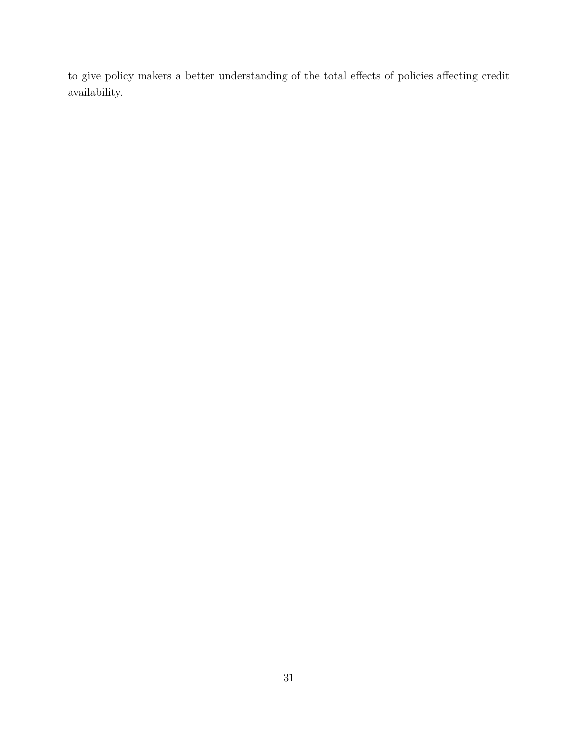to give policy makers a better understanding of the total effects of policies affecting credit availability.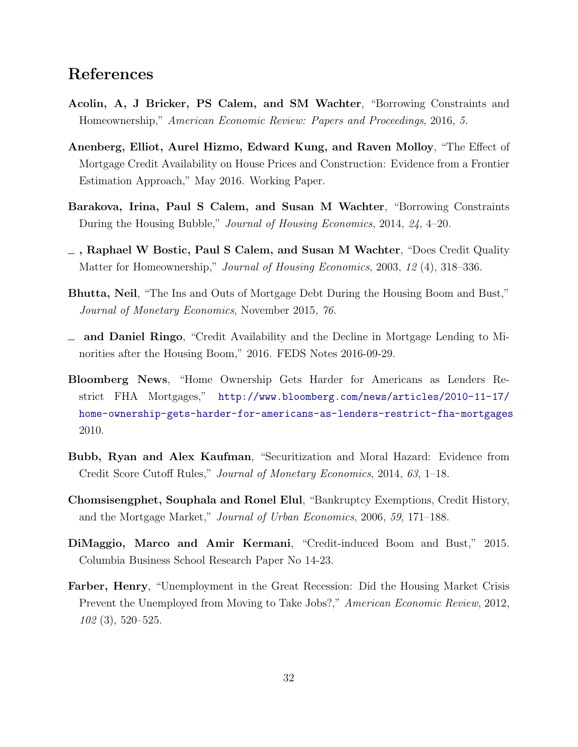# References

- <span id="page-32-5"></span>Acolin, A, J Bricker, PS Calem, and SM Wachter, "Borrowing Constraints and Homeownership," American Economic Review: Papers and Proceedings, 2016, 5.
- <span id="page-32-8"></span>Anenberg, Elliot, Aurel Hizmo, Edward Kung, and Raven Molloy, "The Effect of Mortgage Credit Availability on House Prices and Construction: Evidence from a Frontier Estimation Approach," May 2016. Working Paper.
- <span id="page-32-4"></span>Barakova, Irina, Paul S Calem, and Susan M Wachter, "Borrowing Constraints During the Housing Bubble," Journal of Housing Economics, 2014, 24, 4–20.
- <span id="page-32-3"></span> $\overline{\phantom{a}}$ , Raphael W Bostic, Paul S Calem, and Susan M Wachter, "Does Credit Quality Matter for Homeownership," *Journal of Housing Economics*, 2003, 12(4), 318–336.
- <span id="page-32-1"></span>Bhutta, Neil, "The Ins and Outs of Mortgage Debt During the Housing Boom and Bust," Journal of Monetary Economics, November 2015, 76.
- <span id="page-32-2"></span>and Daniel Ringo, "Credit Availability and the Decline in Mortgage Lending to Minorities after the Housing Boom," 2016. FEDS Notes 2016-09-29.
- <span id="page-32-10"></span>Bloomberg News, "Home Ownership Gets Harder for Americans as Lenders Restrict FHA Mortgages," [http://www.bloomberg.com/news/articles/2010-11-17/](http://www.bloomberg.com/news/articles/2010-11-17/home-ownership-gets-harder-for-americans-as-lenders-restrict-fha-mortgages) [home-ownership-gets-harder-for-americans-as-lenders-restrict-fha-mortgages](http://www.bloomberg.com/news/articles/2010-11-17/home-ownership-gets-harder-for-americans-as-lenders-restrict-fha-mortgages) 2010.
- <span id="page-32-9"></span>Bubb, Ryan and Alex Kaufman, "Securitization and Moral Hazard: Evidence from Credit Score Cutoff Rules," Journal of Monetary Economics, 2014, 63, 1–18.
- <span id="page-32-6"></span>Chomsisengphet, Souphala and Ronel Elul, "Bankruptcy Exemptions, Credit History, and the Mortgage Market," Journal of Urban Economics, 2006, 59, 171–188.
- <span id="page-32-0"></span>DiMaggio, Marco and Amir Kermani, "Credit-induced Boom and Bust," 2015. Columbia Business School Research Paper No 14-23.
- <span id="page-32-7"></span>Farber, Henry, "Unemployment in the Great Recession: Did the Housing Market Crisis Prevent the Unemployed from Moving to Take Jobs?," American Economic Review, 2012, 102 (3), 520–525.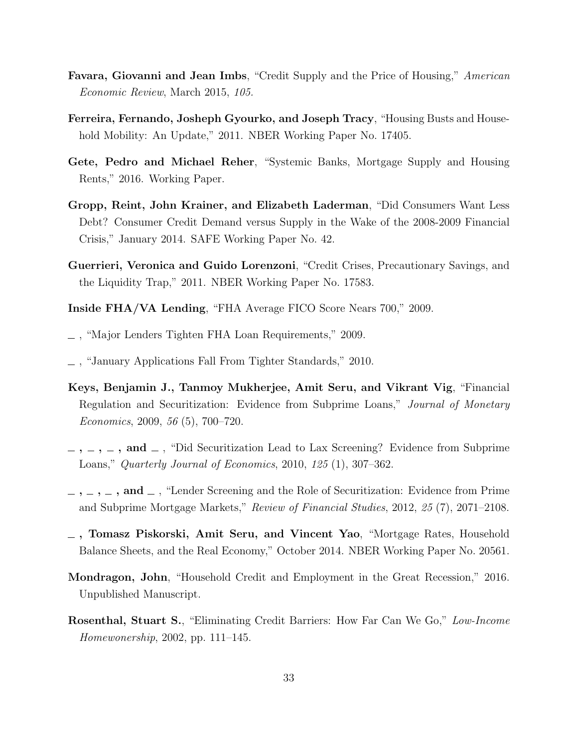- <span id="page-33-7"></span>Favara, Giovanni and Jean Imbs, "Credit Supply and the Price of Housing," American Economic Review, March 2015, 105.
- <span id="page-33-4"></span>Ferreira, Fernando, Josheph Gyourko, and Joseph Tracy, "Housing Busts and Household Mobility: An Update," 2011. NBER Working Paper No. 17405.
- <span id="page-33-6"></span>Gete, Pedro and Michael Reher, "Systemic Banks, Mortgage Supply and Housing Rents," 2016. Working Paper.
- <span id="page-33-5"></span>Gropp, Reint, John Krainer, and Elizabeth Laderman, "Did Consumers Want Less Debt? Consumer Credit Demand versus Supply in the Wake of the 2008-2009 Financial Crisis," January 2014. SAFE Working Paper No. 42.
- <span id="page-33-0"></span>Guerrieri, Veronica and Guido Lorenzoni, "Credit Crises, Precautionary Savings, and the Liquidity Trap," 2011. NBER Working Paper No. 17583.
- <span id="page-33-12"></span>Inside FHA/VA Lending, "FHA Average FICO Score Nears 700," 2009.
- <span id="page-33-11"></span>, "Major Lenders Tighten FHA Loan Requirements," 2009.
- <span id="page-33-13"></span>, "January Applications Fall From Tighter Standards," 2010.
- <span id="page-33-8"></span>Keys, Benjamin J., Tanmoy Mukherjee, Amit Seru, and Vikrant Vig, "Financial Regulation and Securitization: Evidence from Subprime Loans," Journal of Monetary Economics, 2009, 56 (5), 700–720.
- <span id="page-33-9"></span> $\ldots$ ,  $\ldots$ , and  $\ldots$ , "Did Securitization Lead to Lax Screening? Evidence from Subprime Loans," Quarterly Journal of Economics, 2010, 125 (1), 307–362.
- <span id="page-33-10"></span> $, \ldots, \ldots, \ldots,$  and  $\ldots$ , "Lender Screening and the Role of Securitization: Evidence from Prime and Subprime Mortgage Markets," Review of Financial Studies, 2012, 25 (7), 2071–2108.
- <span id="page-33-3"></span>, Tomasz Piskorski, Amit Seru, and Vincent Yao, "Mortgage Rates, Household Balance Sheets, and the Real Economy," October 2014. NBER Working Paper No. 20561.
- <span id="page-33-1"></span>Mondragon, John, "Household Credit and Employment in the Great Recession," 2016. Unpublished Manuscript.
- <span id="page-33-2"></span>Rosenthal, Stuart S., "Eliminating Credit Barriers: How Far Can We Go," Low-Income Homewonership, 2002, pp. 111–145.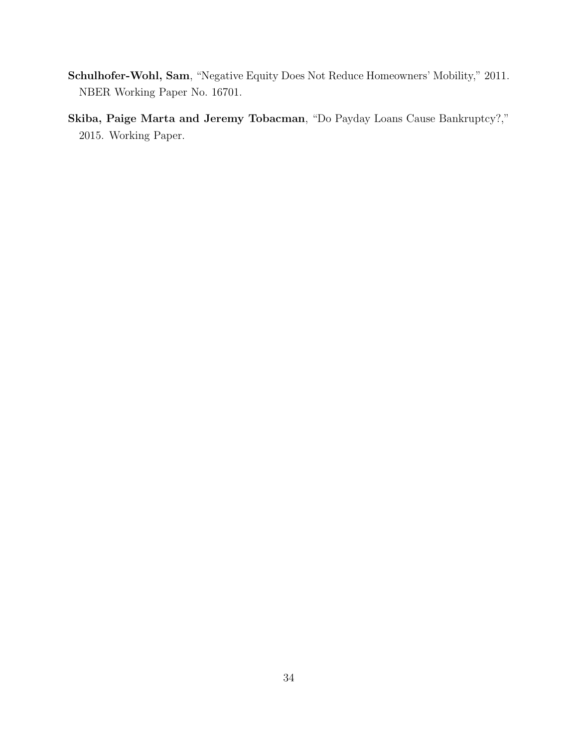- <span id="page-34-1"></span>Schulhofer-Wohl, Sam, "Negative Equity Does Not Reduce Homeowners' Mobility," 2011. NBER Working Paper No. 16701.
- <span id="page-34-0"></span>Skiba, Paige Marta and Jeremy Tobacman, "Do Payday Loans Cause Bankruptcy?," 2015. Working Paper.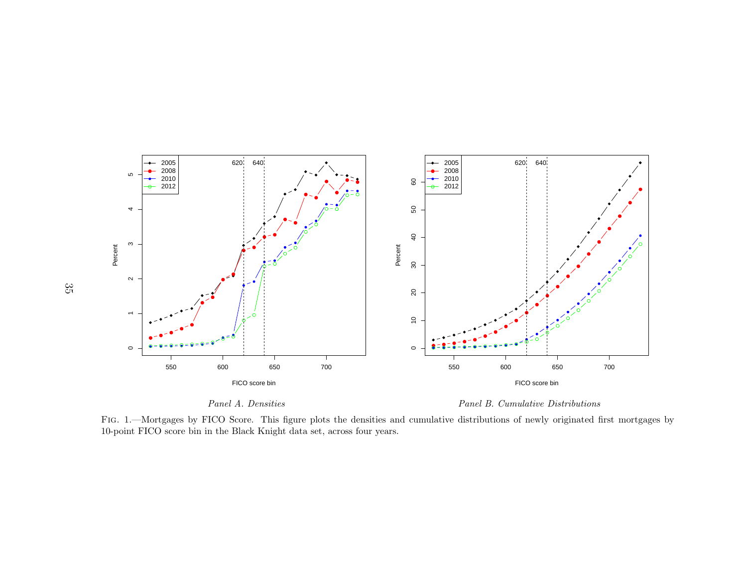



Panel B. Cumulative Distributions

<span id="page-35-0"></span>Fig. 1.—Mortgages by FICO Score. This figure <sup>p</sup>lots the densities and cumulative distributions of newly originated first mortgages by10-point FICO score bin in the Black Knight data set, across four years.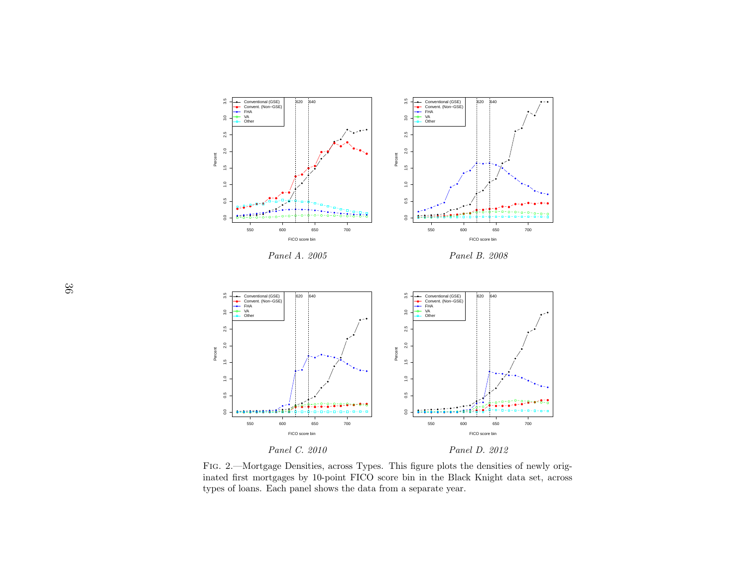<span id="page-36-4"></span><span id="page-36-3"></span><span id="page-36-2"></span><span id="page-36-1"></span>

<span id="page-36-0"></span>Fig. 2.—Mortgage Densities, across Types. This figure <sup>p</sup>lots the densities of newly originated first mortgages by 10-point FICO score bin in the Black Knight data set, acrosstypes of loans. Each panel shows the data from <sup>a</sup> separate year.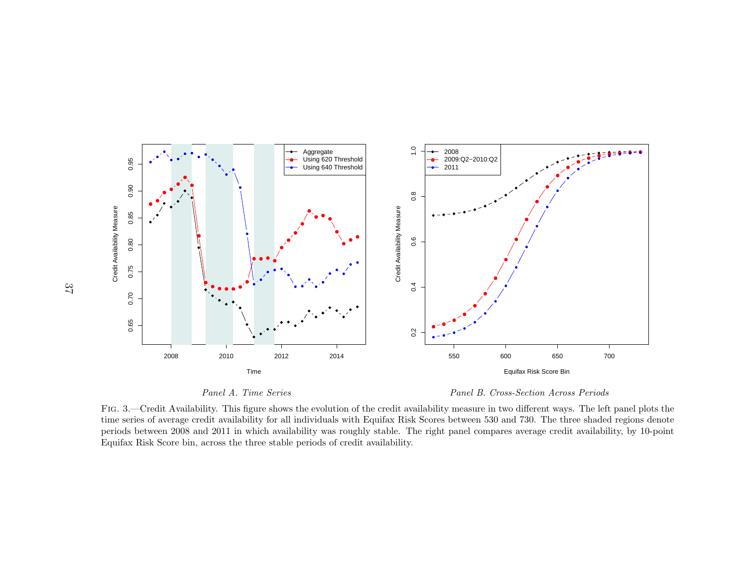<span id="page-37-1"></span>



<span id="page-37-0"></span>Panel B. Cross-Section Across Periods

Fig. 3.—Credit Availability. This figure shows the evolution of the credit availability measure in two different ways. The left panel <sup>p</sup>lots the time series of average credit availability for all individuals with Equifax Risk Scores between 530 and 730. The three shaded regions denote periods between 2008 and 2011 in which availability was roughly stable. The right panel compares average credit availability, by 10-pointEquifax Risk Score bin, across the three stable periods of credit availability.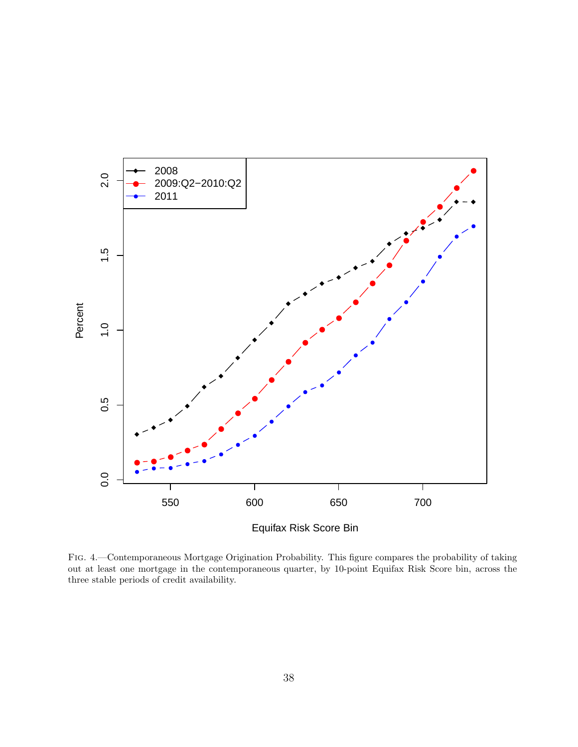<span id="page-38-0"></span>

Fig. 4.—Contemporaneous Mortgage Origination Probability. This figure compares the probability of taking out at least one mortgage in the contemporaneous quarter, by 10-point Equifax Risk Score bin, across the three stable periods of credit availability.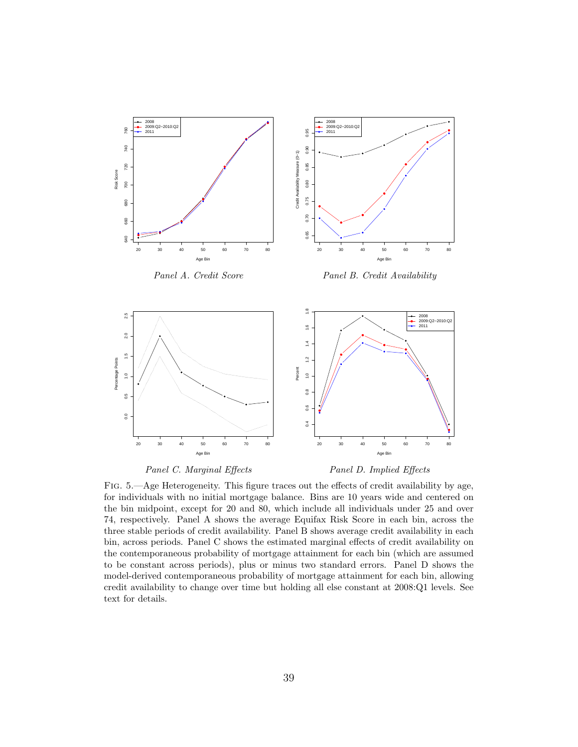<span id="page-39-1"></span><span id="page-39-0"></span>

Panel C. Marginal Effects

<span id="page-39-4"></span><span id="page-39-2"></span>Panel D. Implied Effects

<span id="page-39-3"></span>Fig. 5.—Age Heterogeneity. This figure traces out the effects of credit availability by age, for individuals with no initial mortgage balance. Bins are 10 years wide and centered on the bin midpoint, except for 20 and 80, which include all individuals under 25 and over 74, respectively. Panel A shows the average Equifax Risk Score in each bin, across the three stable periods of credit availability. Panel B shows average credit availability in each bin, across periods. Panel C shows the estimated marginal effects of credit availability on the contemporaneous probability of mortgage attainment for each bin (which are assumed to be constant across periods), plus or minus two standard errors. Panel D shows the model-derived contemporaneous probability of mortgage attainment for each bin, allowing credit availability to change over time but holding all else constant at 2008:Q1 levels. See text for details.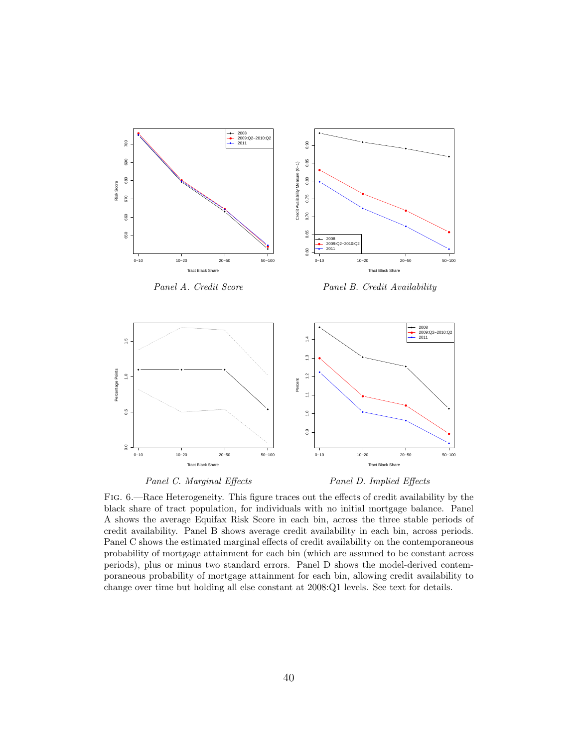<span id="page-40-1"></span><span id="page-40-0"></span>

Panel C. Marginal Effects

<span id="page-40-4"></span><span id="page-40-2"></span>Panel D. Implied Effects

<span id="page-40-3"></span>Fig. 6.—Race Heterogeneity. This figure traces out the effects of credit availability by the black share of tract population, for individuals with no initial mortgage balance. Panel A shows the average Equifax Risk Score in each bin, across the three stable periods of credit availability. Panel B shows average credit availability in each bin, across periods. Panel C shows the estimated marginal effects of credit availability on the contemporaneous probability of mortgage attainment for each bin (which are assumed to be constant across periods), plus or minus two standard errors. Panel D shows the model-derived contemporaneous probability of mortgage attainment for each bin, allowing credit availability to change over time but holding all else constant at 2008:Q1 levels. See text for details.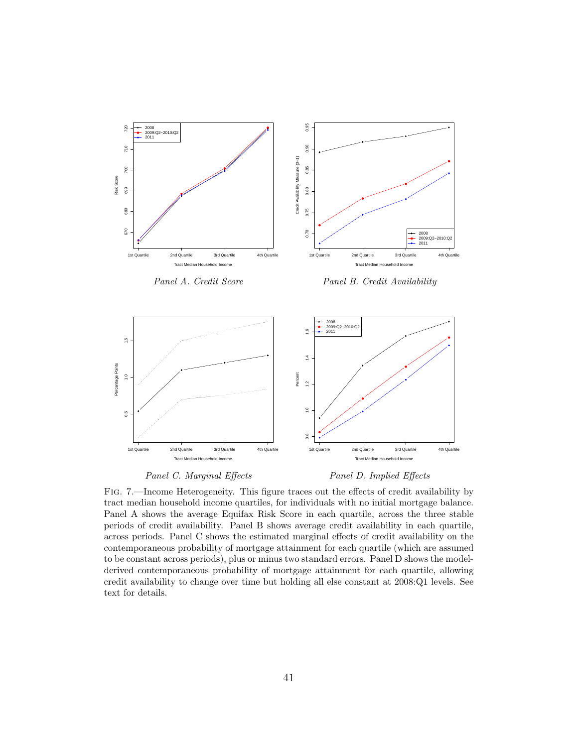<span id="page-41-1"></span><span id="page-41-0"></span>

Panel C. Marginal Effects

<span id="page-41-4"></span><span id="page-41-2"></span>

<span id="page-41-3"></span>Fig. 7.—Income Heterogeneity. This figure traces out the effects of credit availability by tract median household income quartiles, for individuals with no initial mortgage balance. Panel A shows the average Equifax Risk Score in each quartile, across the three stable periods of credit availability. Panel B shows average credit availability in each quartile, across periods. Panel C shows the estimated marginal effects of credit availability on the contemporaneous probability of mortgage attainment for each quartile (which are assumed to be constant across periods), plus or minus two standard errors. Panel D shows the modelderived contemporaneous probability of mortgage attainment for each quartile, allowing credit availability to change over time but holding all else constant at 2008:Q1 levels. See text for details.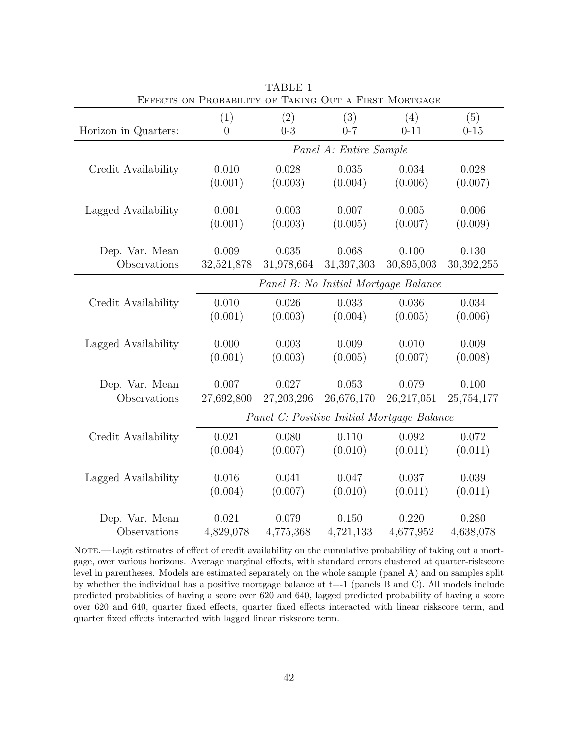<span id="page-42-0"></span>

|                      | EFFECTS ON PROBABILITY OF TAKING OUT A FIRST MORTGAGE |            |                                            |            |            |
|----------------------|-------------------------------------------------------|------------|--------------------------------------------|------------|------------|
|                      | (1)                                                   | (2)        | (3)                                        | (4)        | (5)        |
| Horizon in Quarters: | $\boldsymbol{0}$                                      | $0 - 3$    | $0 - 7$                                    | $0 - 11$   | $0 - 15$   |
|                      |                                                       |            | Panel A: Entire Sample                     |            |            |
| Credit Availability  | 0.010                                                 | 0.028      | 0.035                                      | 0.034      | 0.028      |
|                      | (0.001)                                               | (0.003)    | (0.004)                                    | (0.006)    | (0.007)    |
|                      |                                                       |            |                                            |            |            |
| Lagged Availability  | 0.001                                                 | 0.003      | 0.007                                      | 0.005      | 0.006      |
|                      | (0.001)                                               | (0.003)    | (0.005)                                    | (0.007)    | (0.009)    |
| Dep. Var. Mean       | 0.009                                                 | 0.035      | 0.068                                      | 0.100      | 0.130      |
| Observations         | 32,521,878                                            | 31,978,664 | 31,397,303                                 | 30,895,003 | 30,392,255 |
|                      |                                                       |            | Panel B: No Initial Mortgage Balance       |            |            |
| Credit Availability  | 0.010                                                 | 0.026      | 0.033                                      | 0.036      | 0.034      |
|                      | (0.001)                                               | (0.003)    | (0.004)                                    | (0.005)    | (0.006)    |
|                      |                                                       |            |                                            |            |            |
| Lagged Availability  | 0.000                                                 | 0.003      | 0.009                                      | 0.010      | 0.009      |
|                      | (0.001)                                               | (0.003)    | (0.005)                                    | (0.007)    | (0.008)    |
| Dep. Var. Mean       | 0.007                                                 | 0.027      | 0.053                                      | 0.079      | 0.100      |
| Observations         | 27,692,800                                            | 27,203,296 | 26,676,170                                 | 26,217,051 | 25,754,177 |
|                      |                                                       |            | Panel C: Positive Initial Mortgage Balance |            |            |
| Credit Availability  | 0.021                                                 | 0.080      | 0.110                                      | 0.092      | 0.072      |
|                      | (0.004)                                               | (0.007)    | (0.010)                                    | (0.011)    | (0.011)    |
|                      |                                                       |            |                                            |            |            |
| Lagged Availability  | 0.016                                                 | 0.041      | 0.047                                      | 0.037      | 0.039      |
|                      | (0.004)                                               | (0.007)    | (0.010)                                    | (0.011)    | (0.011)    |
| Dep. Var. Mean       | 0.021                                                 | 0.079      | 0.150                                      | 0.220      | 0.280      |
| Observations         | 4,829,078                                             | 4,775,368  | 4,721,133                                  | 4,677,952  | 4,638,078  |

TABLE 1

NOTE.—Logit estimates of effect of credit availability on the cumulative probability of taking out a mortgage, over various horizons. Average marginal effects, with standard errors clustered at quarter-riskscore level in parentheses. Models are estimated separately on the whole sample (panel A) and on samples split by whether the individual has a positive mortgage balance at  $t=-1$  (panels B and C). All models include predicted probablities of having a score over 620 and 640, lagged predicted probability of having a score over 620 and 640, quarter fixed effects, quarter fixed effects interacted with linear riskscore term, and quarter fixed effects interacted with lagged linear riskscore term.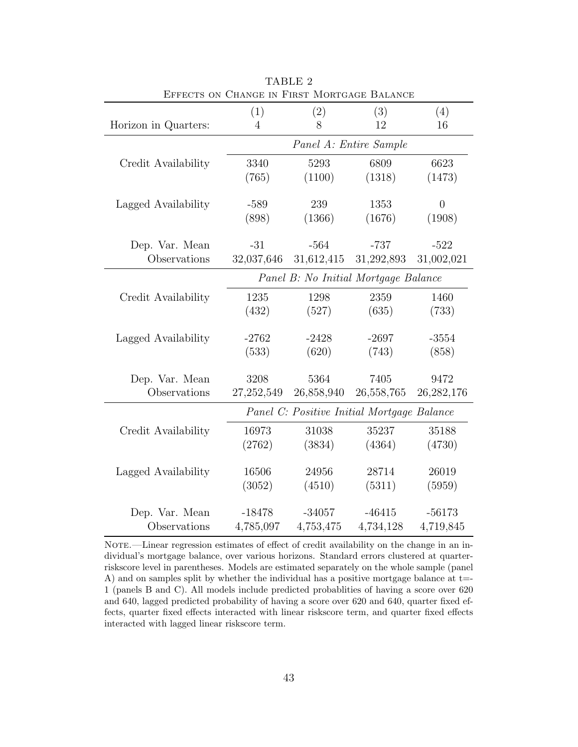<span id="page-43-0"></span>

|                      | EFFECTS ON CHANGE IN FIRST MORTGAGE BALANCE |                        |                                            |                |
|----------------------|---------------------------------------------|------------------------|--------------------------------------------|----------------|
|                      | (1)                                         | (2)                    | (3)                                        | (4)            |
| Horizon in Quarters: | $\overline{4}$                              | 8                      | 12                                         | 16             |
|                      |                                             | Panel A: Entire Sample |                                            |                |
| Credit Availability  | 3340                                        | 5293                   | 6809                                       | 6623           |
|                      | (765)                                       | (1100)                 | (1318)                                     | (1473)         |
| Lagged Availability  | $-589$                                      | 239                    | 1353                                       | $\overline{0}$ |
|                      | (898)                                       | (1366)                 | (1676)                                     | (1908)         |
|                      |                                             |                        |                                            |                |
| Dep. Var. Mean       | $-31$                                       | $-564$                 | $-737$                                     | $-522$         |
| Observations         | 32,037,646                                  | 31,612,415             | 31,292,893                                 | 31,002,021     |
|                      |                                             |                        | Panel B: No Initial Mortgage Balance       |                |
| Credit Availability  | 1235                                        | 1298                   | 2359                                       | 1460           |
|                      | (432)                                       | (527)                  | (635)                                      | (733)          |
|                      |                                             |                        |                                            |                |
| Lagged Availability  | $-2762$                                     | $-2428$                | $-2697$                                    | $-3554$        |
|                      | (533)                                       | (620)                  | (743)                                      | (858)          |
| Dep. Var. Mean       | 3208                                        | 5364                   | 7405                                       | 9472           |
| Observations         | 27,252,549                                  | 26,858,940             | 26,558,765                                 | 26, 282, 176   |
|                      |                                             |                        | Panel C: Positive Initial Mortgage Balance |                |
| Credit Availability  | 16973                                       | 31038                  | 35237                                      | 35188          |
|                      | (2762)                                      | (3834)                 | (4364)                                     | (4730)         |
|                      |                                             |                        |                                            |                |
| Lagged Availability  | 16506                                       | 24956                  | 28714                                      | 26019          |
|                      | (3052)                                      | (4510)                 | (5311)                                     | (5959)         |
| Dep. Var. Mean       | $-18478$                                    | $-34057$               | $-46415$                                   | $-56173$       |
| Observations         | 4,785,097                                   | 4,753,475              | 4,734,128                                  | 4,719,845      |

TABLE 2 Effects on Change in First Mortgage Balance

NOTE.—Linear regression estimates of effect of credit availability on the change in an individual's mortgage balance, over various horizons. Standard errors clustered at quarterriskscore level in parentheses. Models are estimated separately on the whole sample (panel A) and on samples split by whether the individual has a positive mortgage balance at  $t=$ 1 (panels B and C). All models include predicted probablities of having a score over 620 and 640, lagged predicted probability of having a score over 620 and 640, quarter fixed effects, quarter fixed effects interacted with linear riskscore term, and quarter fixed effects interacted with lagged linear riskscore term.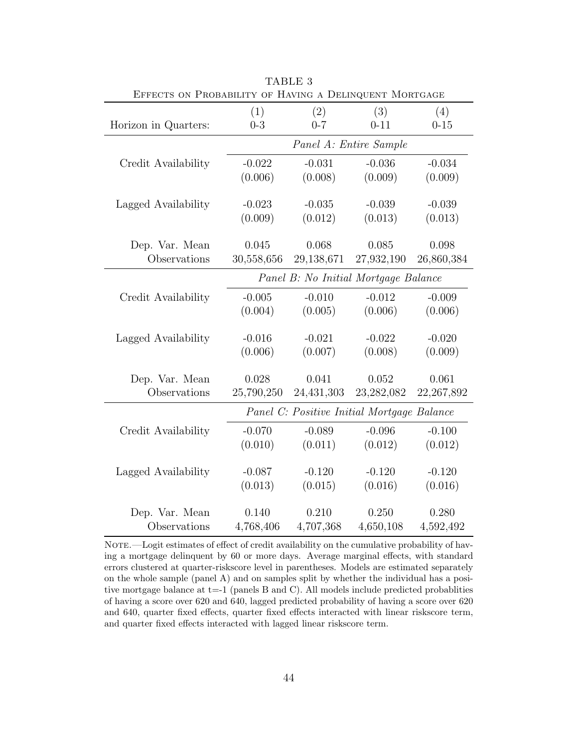<span id="page-44-0"></span>

| (1)<br>(2)<br>(4)<br>(3)<br>Horizon in Quarters:<br>$0 - 3$<br>$0 - 11$<br>$0 - 15$<br>$0 - 7$ |  |
|------------------------------------------------------------------------------------------------|--|
|                                                                                                |  |
|                                                                                                |  |
| Panel A: Entire Sample                                                                         |  |
| $-0.031$<br>Credit Availability<br>$-0.022$<br>$-0.036$<br>$-0.034$                            |  |
| (0.006)<br>(0.008)<br>(0.009)<br>(0.009)                                                       |  |
| $-0.023$<br>$-0.035$<br>$-0.039$<br>Lagged Availability<br>$-0.039$                            |  |
| (0.009)<br>(0.012)<br>(0.013)<br>(0.013)                                                       |  |
|                                                                                                |  |
| 0.045<br>0.068<br>0.085<br>0.098<br>Dep. Var. Mean                                             |  |
| Observations<br>26,860,384<br>30,558,656<br>29,138,671<br>27,932,190                           |  |
| Panel B: No Initial Mortgage Balance                                                           |  |
| $-0.005$<br>$-0.012$<br>Credit Availability<br>$-0.010$<br>$-0.009$                            |  |
| (0.004)<br>(0.005)<br>(0.006)<br>(0.006)                                                       |  |
| Lagged Availability<br>$-0.016$<br>$-0.022$<br>$-0.021$<br>$-0.020$                            |  |
| (0.006)<br>(0.007)<br>(0.008)<br>(0.009)                                                       |  |
|                                                                                                |  |
| 0.028<br>0.041<br>0.052<br>0.061<br>Dep. Var. Mean                                             |  |
| Observations<br>25,790,250<br>24,431,303<br>23,282,082<br>22, 267, 892                         |  |
| Panel C: Positive Initial Mortgage Balance                                                     |  |
| $-0.070$<br>$-0.089$<br>$-0.096$<br>$-0.100$<br>Credit Availability                            |  |
| (0.010)<br>(0.011)<br>(0.012)<br>(0.012)                                                       |  |
| Lagged Availability<br>$-0.087$<br>$-0.120$<br>$-0.120$<br>$-0.120$                            |  |
| (0.013)<br>(0.015)<br>(0.016)<br>(0.016)                                                       |  |
| 0.140<br>0.210<br>0.250<br>Dep. Var. Mean<br>0.280                                             |  |
| 4,768,406<br>4,707,368<br>4,650,108<br>Observations<br>4,592,492                               |  |

TABLE 3

NOTE.—Logit estimates of effect of credit availability on the cumulative probability of having a mortgage delinquent by 60 or more days. Average marginal effects, with standard errors clustered at quarter-riskscore level in parentheses. Models are estimated separately on the whole sample (panel A) and on samples split by whether the individual has a positive mortgage balance at  $t=-1$  (panels B and C). All models include predicted probabilities of having a score over 620 and 640, lagged predicted probability of having a score over 620 and 640, quarter fixed effects, quarter fixed effects interacted with linear riskscore term, and quarter fixed effects interacted with lagged linear riskscore term.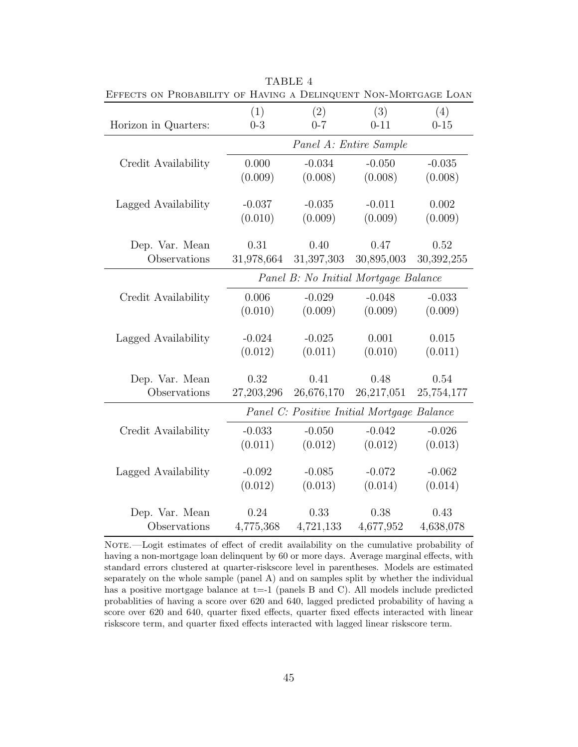<span id="page-45-0"></span>

| EFFECTS ON PROBABILITY OF HAVING A DELINQUENT NON-MORTGAGE LOAN |            |            |                                            |            |
|-----------------------------------------------------------------|------------|------------|--------------------------------------------|------------|
|                                                                 | (1)        | (2)        | (3)                                        | (4)        |
| Horizon in Quarters:                                            | $0 - 3$    | $0 - 7$    | $0 - 11$                                   | $0 - 15$   |
|                                                                 |            |            | Panel A: Entire Sample                     |            |
| Credit Availability                                             | 0.000      | $-0.034$   | $-0.050$                                   | $-0.035$   |
|                                                                 | (0.009)    | (0.008)    | (0.008)                                    | (0.008)    |
| Lagged Availability                                             | $-0.037$   | $-0.035$   | $-0.011$                                   | 0.002      |
|                                                                 | (0.010)    | (0.009)    | (0.009)                                    | (0.009)    |
| Dep. Var. Mean                                                  | 0.31       | 0.40       | 0.47                                       | 0.52       |
| Observations                                                    | 31,978,664 | 31,397,303 | 30,895,003                                 | 30,392,255 |
|                                                                 |            |            | Panel B: No Initial Mortgage Balance       |            |
| Credit Availability                                             | 0.006      | $-0.029$   | $-0.048$                                   | $-0.033$   |
|                                                                 | (0.010)    | (0.009)    | (0.009)                                    | (0.009)    |
| Lagged Availability                                             | $-0.024$   | $-0.025$   | 0.001                                      | 0.015      |
|                                                                 | (0.012)    | (0.011)    | (0.010)                                    | (0.011)    |
| Dep. Var. Mean                                                  | 0.32       | 0.41       | 0.48                                       | 0.54       |
| Observations                                                    | 27,203,296 | 26,676,170 | 26,217,051                                 | 25,754,177 |
|                                                                 |            |            | Panel C: Positive Initial Mortgage Balance |            |
| Credit Availability                                             | $-0.033$   | $-0.050$   | $-0.042$                                   | $-0.026$   |
|                                                                 | (0.011)    | (0.012)    | (0.012)                                    | (0.013)    |
| Lagged Availability                                             | $-0.092$   | $-0.085$   | $-0.072$                                   | $-0.062$   |
|                                                                 | (0.012)    | (0.013)    | (0.014)                                    | (0.014)    |
| Dep. Var. Mean                                                  | 0.24       | 0.33       | 0.38                                       | 0.43       |
| Observations                                                    | 4,775,368  | 4,721,133  | 4,677,952                                  | 4,638,078  |

TABLE 4 Effects on Probability of Having a Delinquent Non-Mortgage Loan

NOTE.—Logit estimates of effect of credit availability on the cumulative probability of having a non-mortgage loan delinquent by 60 or more days. Average marginal effects, with standard errors clustered at quarter-riskscore level in parentheses. Models are estimated separately on the whole sample (panel A) and on samples split by whether the individual has a positive mortgage balance at t=-1 (panels B and C). All models include predicted probablities of having a score over 620 and 640, lagged predicted probability of having a score over 620 and 640, quarter fixed effects, quarter fixed effects interacted with linear riskscore term, and quarter fixed effects interacted with lagged linear riskscore term.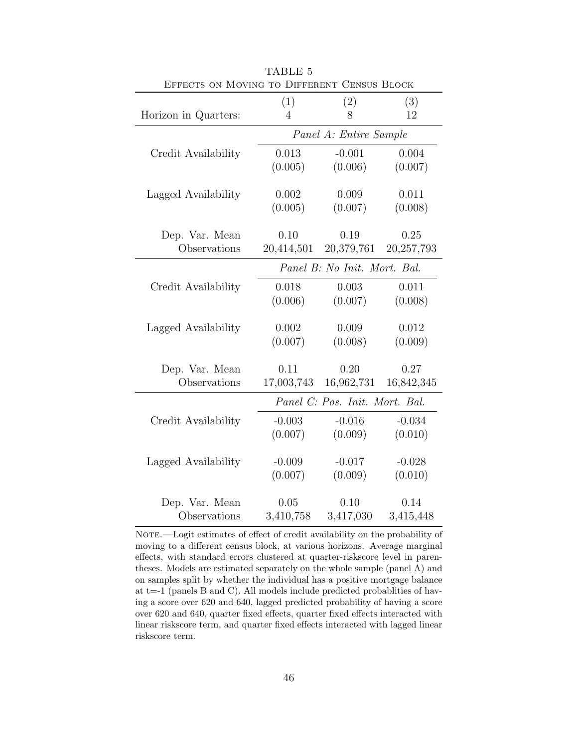<span id="page-46-0"></span>

| EFFECTS ON MOVING TO DIFFERENT CENSUS BLOCK |                |                                |            |
|---------------------------------------------|----------------|--------------------------------|------------|
|                                             | (1)            | (2)                            | (3)        |
| Horizon in Quarters:                        | $\overline{4}$ | 8                              | 12         |
|                                             |                | Panel A: Entire Sample         |            |
| Credit Availability                         | 0.013          | $-0.001$                       | 0.004      |
|                                             | (0.005)        | (0.006)                        | (0.007)    |
| Lagged Availability                         | 0.002          | 0.009                          | 0.011      |
|                                             | (0.005)        | (0.007)                        | (0.008)    |
|                                             |                |                                |            |
| Dep. Var. Mean                              | 0.10           | 0.19                           | 0.25       |
| Observations                                | 20,414,501     | 20,379,761                     | 20,257,793 |
|                                             |                | Panel B: No Init. Mort. Bal.   |            |
| Credit Availability                         | 0.018          | 0.003                          | 0.011      |
|                                             | (0.006)        | (0.007)                        | (0.008)    |
| Lagged Availability                         | 0.002          | 0.009                          | 0.012      |
|                                             | (0.007)        | (0.008)                        | (0.009)    |
|                                             |                |                                |            |
| Dep. Var. Mean                              | 0.11           | 0.20                           | 0.27       |
| Observations                                | 17,003,743     | 16,962,731                     | 16,842,345 |
|                                             |                | Panel C: Pos. Init. Mort. Bal. |            |
| Credit Availability                         | $-0.003$       | $-0.016$                       | $-0.034$   |
|                                             | (0.007)        | (0.009)                        | (0.010)    |
| Lagged Availability                         | $-0.009$       | $-0.017$                       | $-0.028$   |
|                                             | (0.007)        | (0.009)                        | (0.010)    |
|                                             |                |                                |            |
| Dep. Var. Mean                              | 0.05           | 0.10                           | 0.14       |
| Observations                                | 3,410,758      | 3,417,030                      | 3,415,448  |

TABLE 5 Effects on Moving to Different Census Block

NOTE.—Logit estimates of effect of credit availability on the probability of moving to a different census block, at various horizons. Average marginal effects, with standard errors clustered at quarter-riskscore level in parentheses. Models are estimated separately on the whole sample (panel A) and on samples split by whether the individual has a positive mortgage balance at t=-1 (panels B and C). All models include predicted probablities of having a score over 620 and 640, lagged predicted probability of having a score over 620 and 640, quarter fixed effects, quarter fixed effects interacted with linear riskscore term, and quarter fixed effects interacted with lagged linear riskscore term.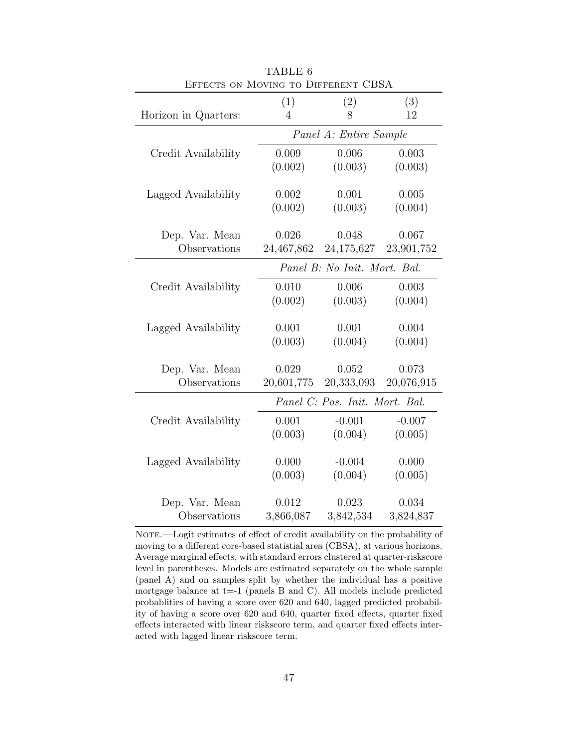<span id="page-47-0"></span>

| EFFECTS ON MOVING TO DIFFERENT CBSA |                  |                                |                  |
|-------------------------------------|------------------|--------------------------------|------------------|
|                                     | (1)              | (2)                            | (3)              |
| Horizon in Quarters:                | $\overline{4}$   | 8                              | 12               |
|                                     |                  | Panel A: Entire Sample         |                  |
| Credit Availability                 | 0.009            | 0.006                          | 0.003            |
|                                     | (0.002)          | (0.003)                        | (0.003)          |
| Lagged Availability                 | 0.002            | 0.001                          | 0.005            |
|                                     | (0.002)          | (0.003)                        | (0.004)          |
|                                     |                  |                                |                  |
| Dep. Var. Mean                      | 0.026            | 0.048                          | 0.067            |
| Observations                        | 24,467,862       | 24,175,627                     | 23,901,752       |
|                                     |                  | Panel B: No Init. Mort. Bal.   |                  |
| Credit Availability                 | 0.010            | 0.006                          | 0.003            |
|                                     | (0.002)          | (0.003)                        | (0.004)          |
|                                     |                  |                                |                  |
| Lagged Availability                 | 0.001<br>(0.003) | 0.001<br>(0.004)               | 0.004<br>(0.004) |
|                                     |                  |                                |                  |
| Dep. Var. Mean                      | 0.029            | 0.052                          | 0.073            |
| Observations                        | 20,601,775       | 20,333,093                     | 20,076,915       |
|                                     |                  | Panel C: Pos. Init. Mort. Bal. |                  |
| Credit Availability                 | 0.001            | $-0.001$                       | $-0.007$         |
|                                     | (0.003)          | (0.004)                        | (0.005)          |
|                                     |                  |                                |                  |
| Lagged Availability                 | 0.000            | $-0.004$                       | 0.000            |
|                                     | (0.003)          | (0.004)                        | (0.005)          |
| Dep. Var. Mean                      | 0.012            | 0.023                          | 0.034            |
| Observations                        | 3,866,087        | 3,842,534                      | 3,824,837        |

TABLE 6 Effects on Moving to Different CBSA

NOTE.—Logit estimates of effect of credit availability on the probability of moving to a different core-based statistial area (CBSA), at various horizons. Average marginal effects, with standard errors clustered at quarter-riskscore level in parentheses. Models are estimated separately on the whole sample (panel A) and on samples split by whether the individual has a positive mortgage balance at t=-1 (panels B and C). All models include predicted probablities of having a score over 620 and 640, lagged predicted probability of having a score over 620 and 640, quarter fixed effects, quarter fixed effects interacted with linear riskscore term, and quarter fixed effects interacted with lagged linear riskscore term.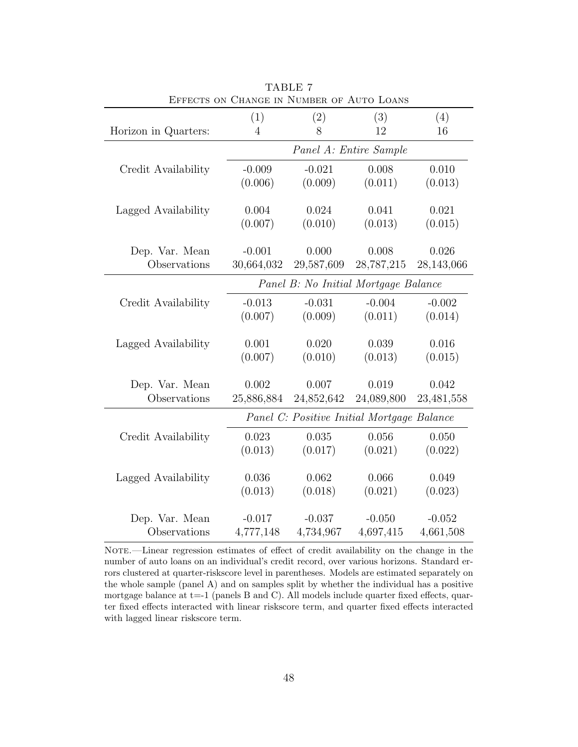<span id="page-48-0"></span>

|                      |                | EFFECTS ON CHANGE IN NUMBER OF AUTO LOANS |                                            |            |
|----------------------|----------------|-------------------------------------------|--------------------------------------------|------------|
|                      | (1)            | (2)                                       | (3)                                        | (4)        |
| Horizon in Quarters: | $\overline{4}$ | 8                                         | 12                                         | 16         |
|                      |                |                                           | Panel A: Entire Sample                     |            |
| Credit Availability  | $-0.009$       | $-0.021$                                  | 0.008                                      | 0.010      |
|                      | (0.006)        | (0.009)                                   | (0.011)                                    | (0.013)    |
|                      |                |                                           |                                            |            |
| Lagged Availability  | 0.004          | 0.024                                     | 0.041                                      | 0.021      |
|                      | (0.007)        | (0.010)                                   | (0.013)                                    | (0.015)    |
| Dep. Var. Mean       | $-0.001$       | 0.000                                     | 0.008                                      | 0.026      |
| Observations         | 30,664,032     | 29,587,609                                | 28,787,215                                 | 28,143,066 |
|                      |                |                                           | Panel B: No Initial Mortgage Balance       |            |
|                      |                |                                           |                                            |            |
| Credit Availability  | $-0.013$       | $-0.031$                                  | $-0.004$                                   | $-0.002$   |
|                      | (0.007)        | (0.009)                                   | (0.011)                                    | (0.014)    |
| Lagged Availability  | 0.001          | 0.020                                     | 0.039                                      | 0.016      |
|                      | (0.007)        | (0.010)                                   | (0.013)                                    | (0.015)    |
|                      |                |                                           |                                            |            |
| Dep. Var. Mean       | 0.002          | 0.007                                     | 0.019                                      | 0.042      |
| Observations         | 25,886,884     | 24,852,642                                | 24,089,800                                 | 23,481,558 |
|                      |                |                                           | Panel C: Positive Initial Mortgage Balance |            |
| Credit Availability  | 0.023          | 0.035                                     | 0.056                                      | 0.050      |
|                      | (0.013)        | (0.017)                                   | (0.021)                                    | (0.022)    |
|                      |                |                                           |                                            |            |
| Lagged Availability  | 0.036          | 0.062                                     | 0.066                                      | 0.049      |
|                      | (0.013)        | (0.018)                                   | (0.021)                                    | (0.023)    |
| Dep. Var. Mean       | $-0.017$       | $-0.037$                                  | $-0.050$                                   | $-0.052$   |
| Observations         | 4,777,148      | 4,734,967                                 | 4,697,415                                  | 4,661,508  |

TABLE 7

NOTE.—Linear regression estimates of effect of credit availability on the change in the number of auto loans on an individual's credit record, over various horizons. Standard errors clustered at quarter-riskscore level in parentheses. Models are estimated separately on the whole sample (panel A) and on samples split by whether the individual has a positive mortgage balance at  $t=-1$  (panels B and C). All models include quarter fixed effects, quarter fixed effects interacted with linear riskscore term, and quarter fixed effects interacted with lagged linear riskscore term.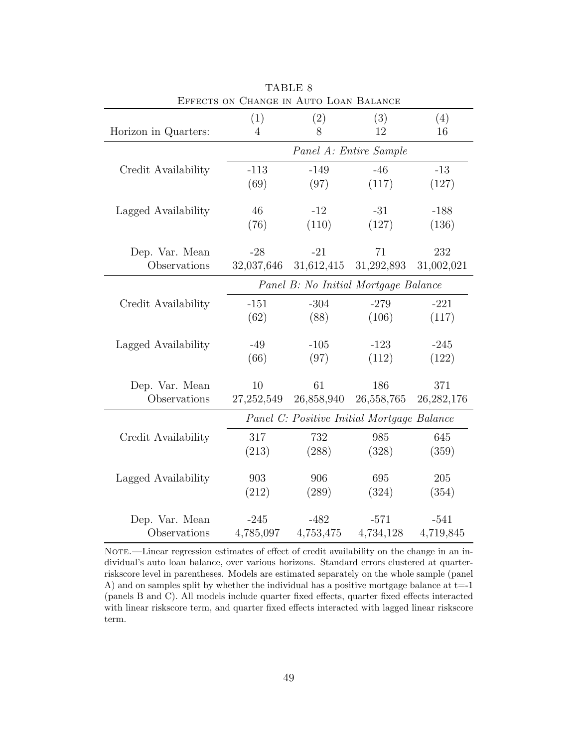<span id="page-49-0"></span>

|                      | EFFECTS ON CHANGE IN AUTO LOAN BALANCE |            |                                            |            |
|----------------------|----------------------------------------|------------|--------------------------------------------|------------|
|                      | (1)                                    | (2)        | (3)                                        | (4)        |
| Horizon in Quarters: | $\overline{4}$                         | 8          | 12                                         | 16         |
|                      |                                        |            | Panel A: Entire Sample                     |            |
| Credit Availability  | $-113$                                 | $-149$     | $-46$                                      | $-13$      |
|                      | (69)                                   | (97)       | (117)                                      | (127)      |
|                      |                                        |            |                                            |            |
| Lagged Availability  | 46                                     | $-12$      | $-31$                                      | $-188$     |
|                      | (76)                                   | (110)      | (127)                                      | (136)      |
| Dep. Var. Mean       | $-28$                                  | $-21$      | 71                                         | 232        |
| Observations         | 32,037,646                             | 31,612,415 | 31,292,893                                 | 31,002,021 |
|                      |                                        |            | Panel B: No Initial Mortgage Balance       |            |
|                      |                                        |            |                                            |            |
| Credit Availability  | $-151$                                 | $-304$     | $-279$                                     | $-221$     |
|                      | (62)                                   | (88)       | (106)                                      | (117)      |
| Lagged Availability  | $-49$                                  | $-105$     | $-123$                                     | $-245$     |
|                      | (66)                                   | (97)       | (112)                                      | (122)      |
|                      |                                        |            |                                            |            |
| Dep. Var. Mean       | 10                                     | 61         | 186                                        | 371        |
| Observations         | 27,252,549                             | 26,858,940 | 26,558,765                                 | 26,282,176 |
|                      |                                        |            | Panel C: Positive Initial Mortgage Balance |            |
| Credit Availability  | 317                                    | 732        | 985                                        | 645        |
|                      | (213)                                  | (288)      | (328)                                      | (359)      |
|                      |                                        |            |                                            |            |
| Lagged Availability  | 903                                    | 906        | 695                                        | 205        |
|                      | (212)                                  | (289)      | (324)                                      | (354)      |
| Dep. Var. Mean       | $-245$                                 | $-482$     | $-571$                                     | $-541$     |
| Observations         | 4,785,097                              | 4,753,475  | 4,734,128                                  | 4,719,845  |

TABLE 8

NOTE.—Linear regression estimates of effect of credit availability on the change in an individual's auto loan balance, over various horizons. Standard errors clustered at quarterriskscore level in parentheses. Models are estimated separately on the whole sample (panel A) and on samples split by whether the individual has a positive mortgage balance at  $t=-1$ (panels B and C). All models include quarter fixed effects, quarter fixed effects interacted with linear riskscore term, and quarter fixed effects interacted with lagged linear riskscore term.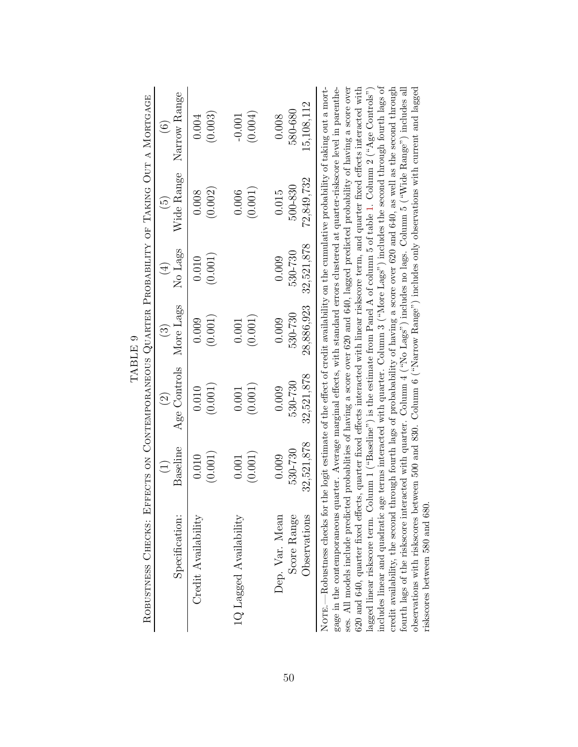| through fourth lags of probabability of having a score over $620$ and $640$ , as well as the second through<br>age terms interacted with quarter. Column 3 ("More Lags") includes the second through fourth lags of<br>quarter. Average marginal effects, with standard errors clustered at quarter-riskscore level in parenthe-<br>ses. All models include predicted probablities of having a score over 620 and 640, lagged predicted probability of having a score over<br>620 and 640, quarter fixed effects, quarter fixed effects interacted with linear riskscore term, and quarter fixed effects interacted with<br>NOTE.—Robustness checks for the logit estimate of the effect of credit availability on the cumulative probability of taking out a mort-<br>observations with riskscores between 500 and 830. Column $6$ ("Narrow Range") includes only observations with current and lagged<br>Column 1 ("Baseline") is the estimate from Panel A of column 5 of table 1. Column 2 ("Age Controls")<br>fourth lags of the riskscore interacted with quarter. Column 4 ("No Lags") includes no lags. Column 5 ("Wide Range") includes all<br>Narrow Range<br>ROBUSTNESS CHECKS: EFFECTS ON CONTEMPORANEOUS QUARTER PROBABILITY OF TAKING OUT A MORTGAGE<br>15,108,112<br>580-680<br>(0.004)<br>(0.003)<br>0.008<br>0.004<br>$-0.001$<br>$\widehat{\odot}$<br>Wide Range<br>72,849,732<br>500-830<br>(0.002)<br>(0.001)<br>0.006<br>0.015<br>0.008<br>$\widetilde{\Theta}$<br>32,521,878<br>No Lags<br>530-730<br>(0.001)<br>0.010<br>0.009<br>$\bigoplus$<br>More Lags<br>28,886,923<br>530-730<br>(0.001)<br>(0.001)<br>0.009<br>0.009<br>0.001<br>$\widehat{\mathbb{G}}$<br>Age Controls<br>32,521,878<br>530-730<br>(0.001)<br>(0.001)<br>0.009<br>0.010<br>0.001<br>$\widehat{\Omega}$<br>32,521,878<br>Baseline<br>530-730<br>(0.001)<br>(0.001)<br>0.009<br>0.010<br>0.001<br>$\widehat{\Xi}$<br>riskscores between 580 and 680.<br>gage in the contemporaneous<br>credit availability, the second<br>includes linear and quadratic<br>1Q Lagged Availability<br>Dep. Var. Mean<br>Score Range<br>Observations<br>Specification:<br>Credit Availability<br>lagged linear riskscore term. |  | TABLE 9 |  |  |
|-----------------------------------------------------------------------------------------------------------------------------------------------------------------------------------------------------------------------------------------------------------------------------------------------------------------------------------------------------------------------------------------------------------------------------------------------------------------------------------------------------------------------------------------------------------------------------------------------------------------------------------------------------------------------------------------------------------------------------------------------------------------------------------------------------------------------------------------------------------------------------------------------------------------------------------------------------------------------------------------------------------------------------------------------------------------------------------------------------------------------------------------------------------------------------------------------------------------------------------------------------------------------------------------------------------------------------------------------------------------------------------------------------------------------------------------------------------------------------------------------------------------------------------------------------------------------------------------------------------------------------------------------------------------------------------------------------------------------------------------------------------------------------------------------------------------------------------------------------------------------------------------------------------------------------------------------------------------------------------------------------------------------------------------------------------------------------------------------------------------------------------------------------------------------------------------------------------|--|---------|--|--|
|                                                                                                                                                                                                                                                                                                                                                                                                                                                                                                                                                                                                                                                                                                                                                                                                                                                                                                                                                                                                                                                                                                                                                                                                                                                                                                                                                                                                                                                                                                                                                                                                                                                                                                                                                                                                                                                                                                                                                                                                                                                                                                                                                                                                           |  |         |  |  |
|                                                                                                                                                                                                                                                                                                                                                                                                                                                                                                                                                                                                                                                                                                                                                                                                                                                                                                                                                                                                                                                                                                                                                                                                                                                                                                                                                                                                                                                                                                                                                                                                                                                                                                                                                                                                                                                                                                                                                                                                                                                                                                                                                                                                           |  |         |  |  |
|                                                                                                                                                                                                                                                                                                                                                                                                                                                                                                                                                                                                                                                                                                                                                                                                                                                                                                                                                                                                                                                                                                                                                                                                                                                                                                                                                                                                                                                                                                                                                                                                                                                                                                                                                                                                                                                                                                                                                                                                                                                                                                                                                                                                           |  |         |  |  |
|                                                                                                                                                                                                                                                                                                                                                                                                                                                                                                                                                                                                                                                                                                                                                                                                                                                                                                                                                                                                                                                                                                                                                                                                                                                                                                                                                                                                                                                                                                                                                                                                                                                                                                                                                                                                                                                                                                                                                                                                                                                                                                                                                                                                           |  |         |  |  |
|                                                                                                                                                                                                                                                                                                                                                                                                                                                                                                                                                                                                                                                                                                                                                                                                                                                                                                                                                                                                                                                                                                                                                                                                                                                                                                                                                                                                                                                                                                                                                                                                                                                                                                                                                                                                                                                                                                                                                                                                                                                                                                                                                                                                           |  |         |  |  |
|                                                                                                                                                                                                                                                                                                                                                                                                                                                                                                                                                                                                                                                                                                                                                                                                                                                                                                                                                                                                                                                                                                                                                                                                                                                                                                                                                                                                                                                                                                                                                                                                                                                                                                                                                                                                                                                                                                                                                                                                                                                                                                                                                                                                           |  |         |  |  |
|                                                                                                                                                                                                                                                                                                                                                                                                                                                                                                                                                                                                                                                                                                                                                                                                                                                                                                                                                                                                                                                                                                                                                                                                                                                                                                                                                                                                                                                                                                                                                                                                                                                                                                                                                                                                                                                                                                                                                                                                                                                                                                                                                                                                           |  |         |  |  |
|                                                                                                                                                                                                                                                                                                                                                                                                                                                                                                                                                                                                                                                                                                                                                                                                                                                                                                                                                                                                                                                                                                                                                                                                                                                                                                                                                                                                                                                                                                                                                                                                                                                                                                                                                                                                                                                                                                                                                                                                                                                                                                                                                                                                           |  |         |  |  |
|                                                                                                                                                                                                                                                                                                                                                                                                                                                                                                                                                                                                                                                                                                                                                                                                                                                                                                                                                                                                                                                                                                                                                                                                                                                                                                                                                                                                                                                                                                                                                                                                                                                                                                                                                                                                                                                                                                                                                                                                                                                                                                                                                                                                           |  |         |  |  |
|                                                                                                                                                                                                                                                                                                                                                                                                                                                                                                                                                                                                                                                                                                                                                                                                                                                                                                                                                                                                                                                                                                                                                                                                                                                                                                                                                                                                                                                                                                                                                                                                                                                                                                                                                                                                                                                                                                                                                                                                                                                                                                                                                                                                           |  |         |  |  |
|                                                                                                                                                                                                                                                                                                                                                                                                                                                                                                                                                                                                                                                                                                                                                                                                                                                                                                                                                                                                                                                                                                                                                                                                                                                                                                                                                                                                                                                                                                                                                                                                                                                                                                                                                                                                                                                                                                                                                                                                                                                                                                                                                                                                           |  |         |  |  |

<span id="page-50-0"></span>

| ப                  |   |
|--------------------|---|
| $\overline{}$<br>ഥ | U |
| ₹<br>┕             | Ï |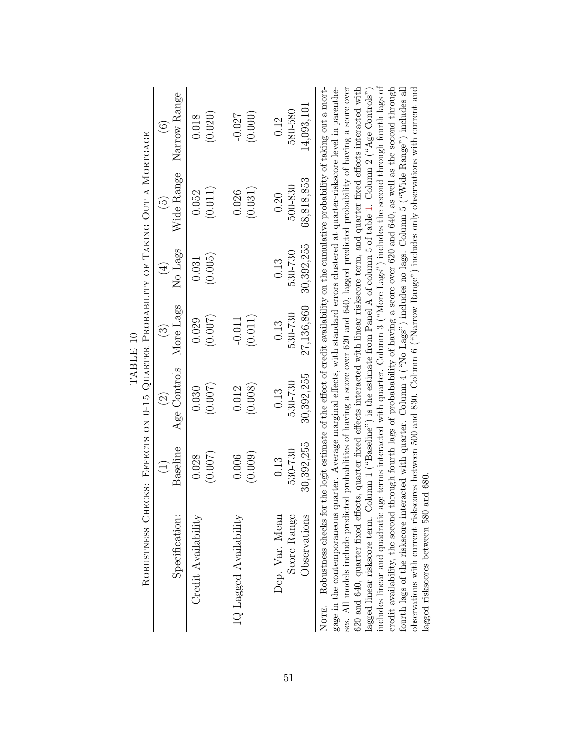|                                                                                                                                                                                                                                                                                                                                                                                                                                                                                                                                                                                                                                                                                                                                                                                                                                                                                                                                                                                     |                     |                    | TABLE 10               |            |                      |                                                                                                                                                                                                                                                                                                                                  |
|-------------------------------------------------------------------------------------------------------------------------------------------------------------------------------------------------------------------------------------------------------------------------------------------------------------------------------------------------------------------------------------------------------------------------------------------------------------------------------------------------------------------------------------------------------------------------------------------------------------------------------------------------------------------------------------------------------------------------------------------------------------------------------------------------------------------------------------------------------------------------------------------------------------------------------------------------------------------------------------|---------------------|--------------------|------------------------|------------|----------------------|----------------------------------------------------------------------------------------------------------------------------------------------------------------------------------------------------------------------------------------------------------------------------------------------------------------------------------|
| ROBUSTNESS CHECKS: EFFECTS ON 0-15 QUARTER PROBABILITY OF TAKING OUT A MORTGAGE                                                                                                                                                                                                                                                                                                                                                                                                                                                                                                                                                                                                                                                                                                                                                                                                                                                                                                     |                     |                    |                        |            |                      |                                                                                                                                                                                                                                                                                                                                  |
|                                                                                                                                                                                                                                                                                                                                                                                                                                                                                                                                                                                                                                                                                                                                                                                                                                                                                                                                                                                     | $\widehat{\exists}$ | $\widehat{\Omega}$ | $\widehat{\mathbb{C}}$ | $(\pm)$    | $\widetilde{\Theta}$ | $\widehat{6}$                                                                                                                                                                                                                                                                                                                    |
| Specification:                                                                                                                                                                                                                                                                                                                                                                                                                                                                                                                                                                                                                                                                                                                                                                                                                                                                                                                                                                      | Baseline            | Age Controls       | More Lags              | No Lags    | Wide Range           | Narrow Range                                                                                                                                                                                                                                                                                                                     |
| Credit Availability                                                                                                                                                                                                                                                                                                                                                                                                                                                                                                                                                                                                                                                                                                                                                                                                                                                                                                                                                                 | 0.028               | 0.030              | 0.029                  | 0.031      | 0.052                | 0.018                                                                                                                                                                                                                                                                                                                            |
|                                                                                                                                                                                                                                                                                                                                                                                                                                                                                                                                                                                                                                                                                                                                                                                                                                                                                                                                                                                     | (0.007)             | (0.007)            | (0.007)                | (0.005)    | (0.011)              | (0.020)                                                                                                                                                                                                                                                                                                                          |
| 1Q Lagged Availability                                                                                                                                                                                                                                                                                                                                                                                                                                                                                                                                                                                                                                                                                                                                                                                                                                                                                                                                                              | 0.006               | 0.012              | $-0.011$               |            | 0.026                | $-0.027$                                                                                                                                                                                                                                                                                                                         |
|                                                                                                                                                                                                                                                                                                                                                                                                                                                                                                                                                                                                                                                                                                                                                                                                                                                                                                                                                                                     | (0.009)             | (0.008)            | (0.011)                |            | (0.031)              | (0.000)                                                                                                                                                                                                                                                                                                                          |
| Dep. Var. Mean                                                                                                                                                                                                                                                                                                                                                                                                                                                                                                                                                                                                                                                                                                                                                                                                                                                                                                                                                                      | 0.13                | 0.13               | 0.13                   | 0.13       | 0.20                 | 0.12                                                                                                                                                                                                                                                                                                                             |
| Score Range                                                                                                                                                                                                                                                                                                                                                                                                                                                                                                                                                                                                                                                                                                                                                                                                                                                                                                                                                                         | 530-730             | 530-730            | 530-730                | 530-730    | 500-830              | 580-680                                                                                                                                                                                                                                                                                                                          |
| Observations                                                                                                                                                                                                                                                                                                                                                                                                                                                                                                                                                                                                                                                                                                                                                                                                                                                                                                                                                                        | 30,392,255          | 30,392,255         | 27,136,860             | 30,392,255 | 68,818,853           | 14,093,101                                                                                                                                                                                                                                                                                                                       |
| NOTE.—Robustness checks for the logit estimate of the effect of credit availability on the cumulative probability of taking out a mort-<br>ses. All models include predicted probablities of having a score over 620 and 640, lagged predicted probability of having a score over<br>620 and 640, quarter fixed effects, quarter fixed effects interacted with linear riskscore term, and quarter fixed effects interacted with<br>observations with current riskscores between 500 and 830. Column $6$ ("Narrow Range") includes only observations with current and<br>lagged linear riskscore term. Column 1 ("Baseline") is the estimate from Panel A of column 5 of table 1. Column 2 ("Age Controls")<br>fourth lags of the riskscore interacted with quarter. Column 4 ("No Lags") includes no lags. Column 5 ("Wide Range") includes all<br>gage in the contemporaneous<br>lagged riskscores between 580<br>includes linear and quadratic<br>credit availability, the second | $\rm{and}$ 680.     |                    |                        |            |                      | age terms interacted with quarter. Column 3 ("More Lags") includes the second through fourth lags of<br>quarter. Average marginal effects, with standard errors clustered at quarter-riskscore level in parenthe-<br>through fourth lags of probabability of having a score over $620$ and $640$ , as well as the second through |

<span id="page-51-0"></span>

|                | <b>SINL</b>                     |
|----------------|---------------------------------|
|                |                                 |
|                | ABILITY OF TA<br>ROBA           |
| THADI LI<br>i, | .<br>ה                          |
|                | しょし<br>.<br>ح<br>$\overline{1}$ |
|                | ł                               |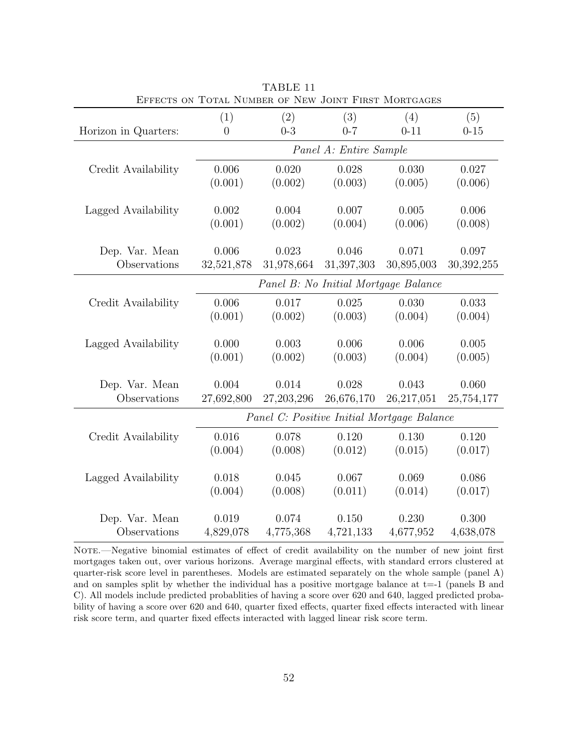<span id="page-52-0"></span>

| EFFECTS ON TOTAL NUMBER OF NEW JOINT FIRST MORTGAGES |                                            |            |            |            |            |  |  |  |
|------------------------------------------------------|--------------------------------------------|------------|------------|------------|------------|--|--|--|
|                                                      | (1)                                        | (2)        | (3)        | (4)        | (5)        |  |  |  |
| Horizon in Quarters:                                 | $\boldsymbol{0}$                           | $0 - 3$    | $0 - 7$    | $0 - 11$   | $0 - 15$   |  |  |  |
|                                                      | Panel A: Entire Sample                     |            |            |            |            |  |  |  |
| Credit Availability                                  | 0.006                                      | 0.020      | 0.028      | 0.030      | 0.027      |  |  |  |
|                                                      | (0.001)                                    | (0.002)    | (0.003)    | (0.005)    | (0.006)    |  |  |  |
| Lagged Availability                                  | 0.002                                      | 0.004      | 0.007      | 0.005      | 0.006      |  |  |  |
|                                                      | (0.001)                                    | (0.002)    | (0.004)    | (0.006)    | (0.008)    |  |  |  |
|                                                      |                                            |            |            |            |            |  |  |  |
| Dep. Var. Mean                                       | 0.006                                      | 0.023      | 0.046      | 0.071      | 0.097      |  |  |  |
| Observations                                         | 32,521,878                                 | 31,978,664 | 31,397,303 | 30,895,003 | 30,392,255 |  |  |  |
|                                                      | Panel B: No Initial Mortgage Balance       |            |            |            |            |  |  |  |
| Credit Availability                                  | 0.006                                      | 0.017      | 0.025      | 0.030      | 0.033      |  |  |  |
|                                                      | (0.001)                                    | (0.002)    | (0.003)    | (0.004)    | (0.004)    |  |  |  |
| Lagged Availability                                  | 0.000                                      | 0.003      | 0.006      | 0.006      | 0.005      |  |  |  |
|                                                      | (0.001)                                    | (0.002)    | (0.003)    | (0.004)    | (0.005)    |  |  |  |
|                                                      |                                            |            |            |            |            |  |  |  |
| Dep. Var. Mean                                       | 0.004                                      | 0.014      | 0.028      | 0.043      | 0.060      |  |  |  |
| Observations                                         | 27,692,800                                 | 27,203,296 | 26,676,170 | 26,217,051 | 25,754,177 |  |  |  |
|                                                      | Panel C: Positive Initial Mortgage Balance |            |            |            |            |  |  |  |
| Credit Availability                                  | 0.016                                      | 0.078      | 0.120      | 0.130      | 0.120      |  |  |  |
|                                                      | (0.004)                                    | (0.008)    | (0.012)    | (0.015)    | (0.017)    |  |  |  |
|                                                      |                                            | 0.045      | 0.067      | 0.069      |            |  |  |  |
| Lagged Availability                                  | 0.018                                      |            |            |            | 0.086      |  |  |  |
|                                                      | (0.004)                                    | (0.008)    | (0.011)    | (0.014)    | (0.017)    |  |  |  |
| Dep. Var. Mean                                       | 0.019                                      | 0.074      | 0.150      | 0.230      | 0.300      |  |  |  |
| Observations                                         | 4,829,078                                  | 4,775,368  | 4,721,133  | 4,677,952  | 4,638,078  |  |  |  |

TABLE 11

NOTE.—Negative binomial estimates of effect of credit availability on the number of new joint first mortgages taken out, over various horizons. Average marginal effects, with standard errors clustered at quarter-risk score level in parentheses. Models are estimated separately on the whole sample (panel A) and on samples split by whether the individual has a positive mortgage balance at t=-1 (panels B and C). All models include predicted probablities of having a score over 620 and 640, lagged predicted probability of having a score over 620 and 640, quarter fixed effects, quarter fixed effects interacted with linear risk score term, and quarter fixed effects interacted with lagged linear risk score term.